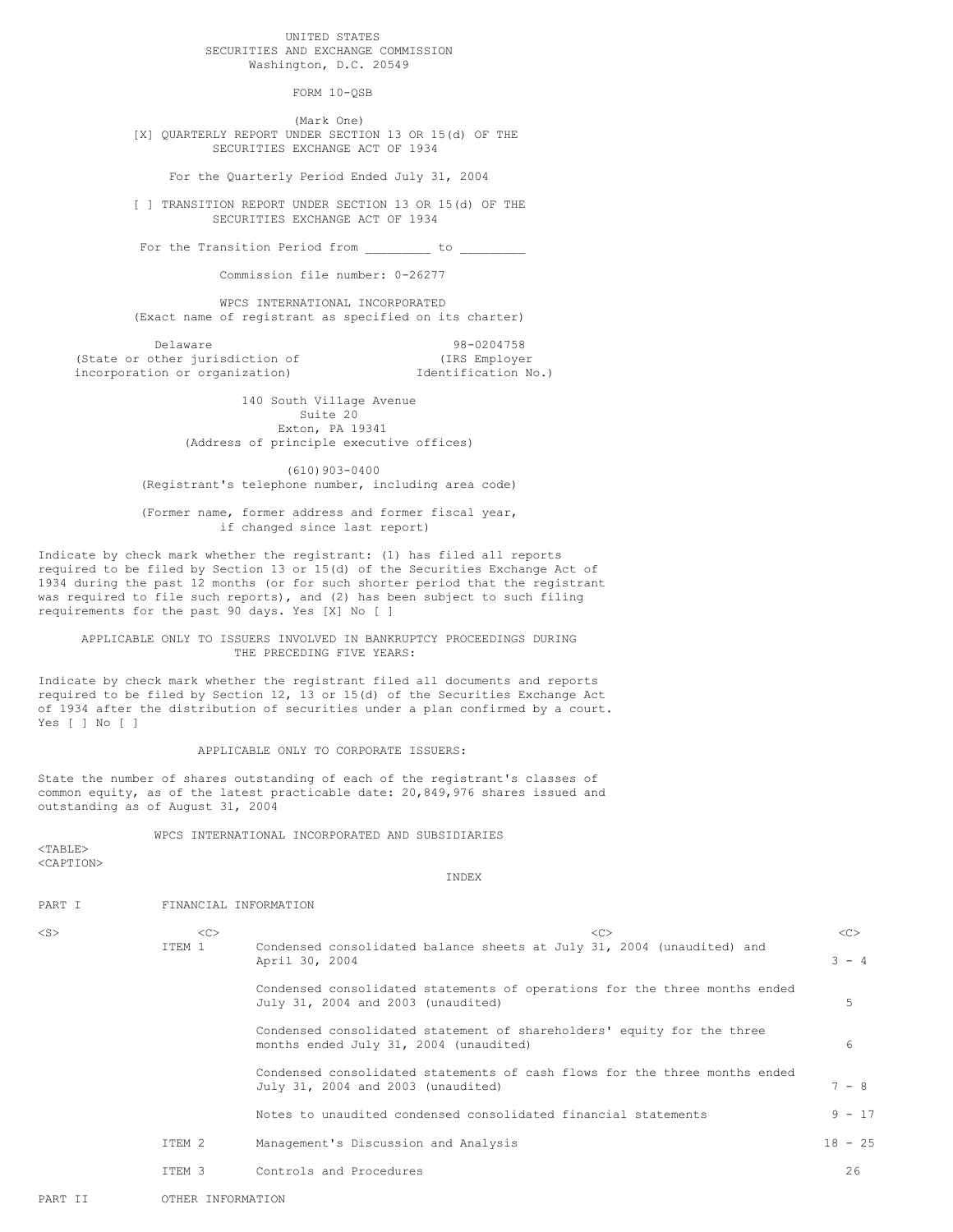## UNITED STATES SECURITIES AND EXCHANGE COMMISSION Washington, D.C. 20549

FORM 10-QSB

(Mark One) [X] QUARTERLY REPORT UNDER SECTION 13 OR 15(d) OF THE SECURITIES EXCHANGE ACT OF 1934

For the Quarterly Period Ended July 31, 2004

[ ] TRANSITION REPORT UNDER SECTION 13 OR 15(d) OF THE SECURITIES EXCHANGE ACT OF 1934

For the Transition Period from \_\_\_\_\_\_\_\_ to \_\_

Commission file number: 0-26277

WPCS INTERNATIONAL INCORPORATED (Exact name of registrant as specified on its charter)

Delaware 98-0204758<br>
bther iurisdiction of (IRS Employer (State or other jurisdiction of incorporation or organization) Identification No.)

> 140 South Village Avenue Suite 20 Exton, PA 19341 (Address of principle executive offices)

(610)903-0400 (Registrant's telephone number, including area code)

(Former name, former address and former fiscal year, if changed since last report)

Indicate by check mark whether the registrant: (1) has filed all reports required to be filed by Section 13 or 15(d) of the Securities Exchange Act of 1934 during the past 12 months (or for such shorter period that the registrant was required to file such reports), and (2) has been subject to such filing requirements for the past 90 days. Yes [X] No [ ]

APPLICABLE ONLY TO ISSUERS INVOLVED IN BANKRUPTCY PROCEEDINGS DURING THE PRECEDING FIVE YEARS:

Indicate by check mark whether the registrant filed all documents and reports required to be filed by Section 12, 13 or 15(d) of the Securities Exchange Act of 1934 after the distribution of securities under a plan confirmed by a court. Yes [ ] No [ ]

APPLICABLE ONLY TO CORPORATE ISSUERS:

State the number of shares outstanding of each of the registrant's classes of common equity, as of the latest practicable date: 20,849,976 shares issued and outstanding as of August 31, 2004

WPCS INTERNATIONAL INCORPORATED AND SUBSIDIARIES

 $<$ TABLE> <CAPTION>

INDEX

| NANCIAL. | <b>TNFORMATION</b><br>the contract of the contract of the contract of the contract of the contract of the contract of the contract of |
|----------|---------------------------------------------------------------------------------------------------------------------------------------|
|          |                                                                                                                                       |

| $<$ S $>$ | < <sub></sub> | <<                                                                                                               | <<        |
|-----------|---------------|------------------------------------------------------------------------------------------------------------------|-----------|
|           | ITEM 1        | Condensed consolidated balance sheets at July 31, 2004 (unaudited) and<br>April 30, 2004                         | $3 - 4$   |
|           |               | Condensed consolidated statements of operations for the three months ended<br>July 31, 2004 and 2003 (unaudited) | 5         |
|           |               | Condensed consolidated statement of shareholders' equity for the three<br>months ended July 31, 2004 (unaudited) | 6         |
|           |               | Condensed consolidated statements of cash flows for the three months ended<br>July 31, 2004 and 2003 (unaudited) | $7 - 8$   |
|           |               | Notes to unaudited condensed consolidated financial statements                                                   | $9 - 17$  |
|           | ITEM 2        | Management's Discussion and Analysis                                                                             | $18 - 25$ |
|           | ITEM 3        | Controls and Procedures                                                                                          | 26        |
|           |               |                                                                                                                  |           |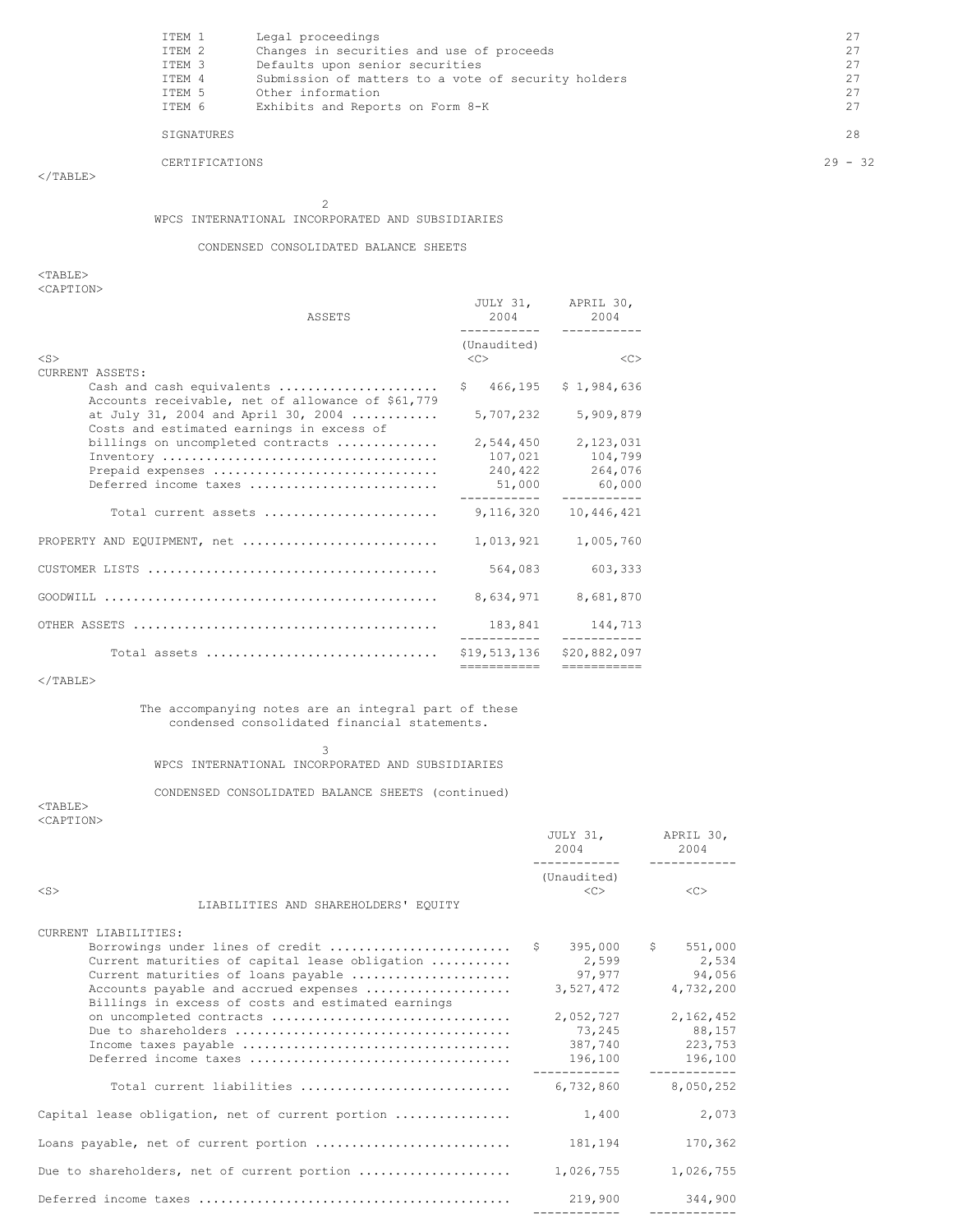| TTEM 1            | Legal proceedings                                   | 27   |
|-------------------|-----------------------------------------------------|------|
| ITEM 2            | Changes in securities and use of proceeds           | 27   |
| TTEM 3            | Defaults upon senior securities                     | 27   |
| TTEM 4            | Submission of matters to a vote of security holders | 27   |
| TTEM 5            | Other information                                   | 27   |
| TTEM 6            | Exhibits and Reports on Form 8-K                    | 27   |
| <b>STGNATURES</b> |                                                     | 28   |
| CERTIFICATIONS    |                                                     | - 32 |

 $<$ /TABLE $>$ 

2 WPCS INTERNATIONAL INCORPORATED AND SUBSIDIARIES

# CONDENSED CONSOLIDATED BALANCE SHEETS

<TABLE> <CAPTION>

| ASSETS                                                                                                                                | 2004<br>------------                      | JULY 31, APRIL 30,<br>2004<br>----------- |
|---------------------------------------------------------------------------------------------------------------------------------------|-------------------------------------------|-------------------------------------------|
| $<$ S $>$                                                                                                                             | (Unaudited)<br><<                         | < <sub></sub>                             |
| CURRENT ASSETS:<br>Cash and cash equivalents                                                                                          | \$466, 195                                | \$1,984,636                               |
| Accounts receivable, net of allowance of \$61,779<br>at July 31, 2004 and April 30, 2004<br>Costs and estimated earnings in excess of | 5,707,232                                 | 5,909,879                                 |
| billings on uncompleted contracts<br>Prepaid expenses<br>Deferred income taxes                                                        | 2,544,450<br>107,021<br>240,422<br>51,000 | 2,123,031<br>104,799<br>264,076<br>60,000 |
| Total current assets                                                                                                                  | 9,116,320                                 | ----------<br>10,446,421                  |
| PROPERTY AND EQUIPMENT, net                                                                                                           | 1,013,921                                 | 1,005,760                                 |
|                                                                                                                                       | 564,083                                   | 603,333                                   |
|                                                                                                                                       | 8,634,971                                 | 8,681,870                                 |
|                                                                                                                                       | 183,841                                   | 144,713                                   |
| Total assets                                                                                                                          | \$19.513.136<br>------------              | \$20,882,097<br>===========               |

 $\rm <$  /TABLE>

The accompanying notes are an integral part of these condensed consolidated financial statements.

3 WPCS INTERNATIONAL INCORPORATED AND SUBSIDIARIES

CONDENSED CONSOLIDATED BALANCE SHEETS (continued)

<TABLE>

<CAPTION>

|                                                                                                                                                                                                                                          | 2004                                                                      | JULY 31, APRIL 30,<br>2004                                                                       |
|------------------------------------------------------------------------------------------------------------------------------------------------------------------------------------------------------------------------------------------|---------------------------------------------------------------------------|--------------------------------------------------------------------------------------------------|
| $<$ S $>$<br>LIABILITIES AND SHAREHOLDERS' EQUITY                                                                                                                                                                                        | (Unaudited)<br><<                                                         | $<<$ $C>$                                                                                        |
| CURRENT LIABILITIES:<br>Current maturities of capital lease obligation<br>Current maturities of loans payable<br>Accounts payable and accrued expenses<br>Billings in excess of costs and estimated earnings<br>on uncompleted contracts | 395,000<br>2,599<br>97.977<br>3,527,472<br>2,052,727<br>73,245<br>196,100 | \$551,000<br>2,534<br>94,056<br>4,732,200<br>2, 162, 452<br>88,157<br>387,740 223,753<br>196,100 |
| Total current liabilities                                                                                                                                                                                                                | 6,732,860                                                                 | 8,050,252                                                                                        |
| Capital lease obligation, net of current portion                                                                                                                                                                                         | 1,400                                                                     | 2,073                                                                                            |
| Loans payable, net of current portion                                                                                                                                                                                                    | 181,194                                                                   | 170,362                                                                                          |
| Due to shareholders, net of current portion                                                                                                                                                                                              | 1,026,755                                                                 | 1,026,755                                                                                        |
|                                                                                                                                                                                                                                          | 219,900                                                                   | 344,900                                                                                          |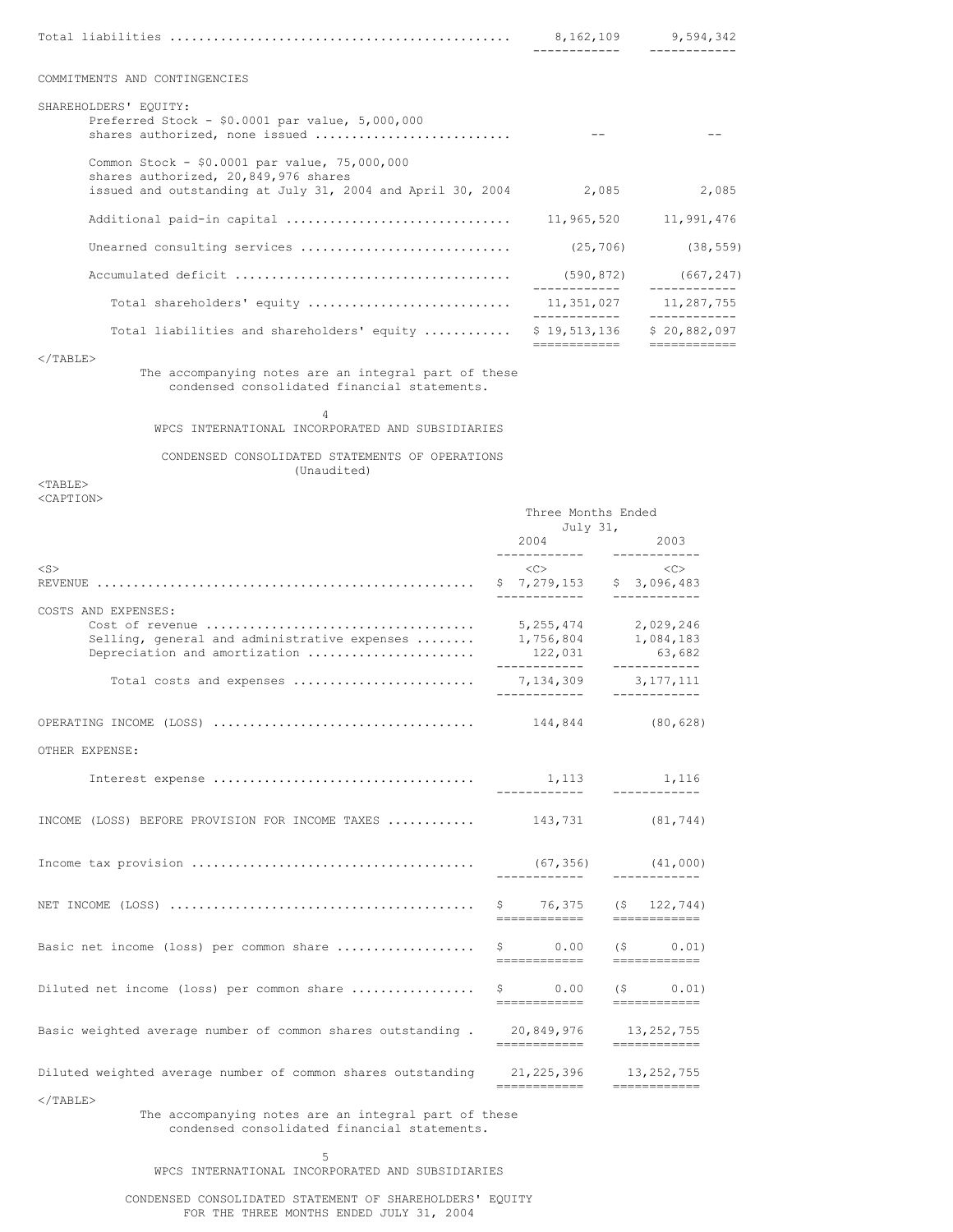| COMMITMENTS AND CONTINGENCIES                                                                                                                       |                                             |                       |
|-----------------------------------------------------------------------------------------------------------------------------------------------------|---------------------------------------------|-----------------------|
| SHAREHOLDERS' EQUITY:<br>Preferred Stock - $$0.0001$ par value, $5,000,000$<br>shares authorized, none issued                                       |                                             |                       |
| Common Stock - \$0.0001 par value, 75,000,000<br>shares authorized, 20,849,976 shares<br>issued and outstanding at July 31, 2004 and April 30, 2004 | 2,085                                       | 2,085                 |
| Additional paid-in capital                                                                                                                          |                                             | 11,965,520 11,991,476 |
| Unearned consulting services                                                                                                                        | (25, 706)                                   | (38, 559)             |
|                                                                                                                                                     |                                             |                       |
|                                                                                                                                                     |                                             |                       |
| Total liabilities and shareholders' equity                                                                                                          | $$19,513,136$ $$20,882,097$<br>============ | ------------          |
|                                                                                                                                                     |                                             |                       |

 $<$ /TABLE>

The accompanying notes are an integral part of these condensed consolidated financial statements.

# 4 WPCS INTERNATIONAL INCORPORATED AND SUBSIDIARIES

CONDENSED CONSOLIDATED STATEMENTS OF OPERATIONS (Unaudited)

<TABLE> <CAPTION>

|                                                                                                      | Three Months Ended |                                                  |  |                                                                                                                                                                                                                                                                                                                                                                                                                                                                                            |
|------------------------------------------------------------------------------------------------------|--------------------|--------------------------------------------------|--|--------------------------------------------------------------------------------------------------------------------------------------------------------------------------------------------------------------------------------------------------------------------------------------------------------------------------------------------------------------------------------------------------------------------------------------------------------------------------------------------|
|                                                                                                      |                    | July 31,<br>2004 2003                            |  |                                                                                                                                                                                                                                                                                                                                                                                                                                                                                            |
| $<$ S $>$                                                                                            |                    | $\langle C \rangle$<br>$$7,279,153$ $$3,096,483$ |  | < <c></c>                                                                                                                                                                                                                                                                                                                                                                                                                                                                                  |
| COSTS AND EXPENSES:<br>Selling, general and administrative expenses<br>Depreciation and amortization |                    | 5, 255, 474<br>1,756,804<br>122,031              |  | 2,029,246<br>1,084,183<br>63,682                                                                                                                                                                                                                                                                                                                                                                                                                                                           |
|                                                                                                      |                    | ------------                                     |  | _____________                                                                                                                                                                                                                                                                                                                                                                                                                                                                              |
|                                                                                                      |                    |                                                  |  | (80, 628)                                                                                                                                                                                                                                                                                                                                                                                                                                                                                  |
| OTHER EXPENSE:                                                                                       |                    |                                                  |  |                                                                                                                                                                                                                                                                                                                                                                                                                                                                                            |
|                                                                                                      |                    |                                                  |  |                                                                                                                                                                                                                                                                                                                                                                                                                                                                                            |
| INCOME (LOSS) BEFORE PROVISION FOR INCOME TAXES  143,731                                             |                    |                                                  |  | (81, 744)                                                                                                                                                                                                                                                                                                                                                                                                                                                                                  |
|                                                                                                      |                    |                                                  |  |                                                                                                                                                                                                                                                                                                                                                                                                                                                                                            |
|                                                                                                      |                    | \$76,375<br>============                         |  | $(5 \t122, 744)$<br>============                                                                                                                                                                                                                                                                                                                                                                                                                                                           |
| Basic net income (loss) per common share                                                             |                    | $\sim 0.00$<br>=============                     |  | $(S \t 0.01)$<br>============                                                                                                                                                                                                                                                                                                                                                                                                                                                              |
| Diluted net income (loss) per common share                                                           |                    | \$0.00<br>===========================            |  | $(S \t 0.01)$                                                                                                                                                                                                                                                                                                                                                                                                                                                                              |
| Basic weighted average number of common shares outstanding . 20,849,976 13,252,755                   |                    | ============                                     |  | $\begin{array}{cccccccccccccc} \multicolumn{2}{c}{} & \multicolumn{2}{c}{} & \multicolumn{2}{c}{} & \multicolumn{2}{c}{} & \multicolumn{2}{c}{} & \multicolumn{2}{c}{} & \multicolumn{2}{c}{} & \multicolumn{2}{c}{} & \multicolumn{2}{c}{} & \multicolumn{2}{c}{} & \multicolumn{2}{c}{} & \multicolumn{2}{c}{} & \multicolumn{2}{c}{} & \multicolumn{2}{c}{} & \multicolumn{2}{c}{} & \multicolumn{2}{c}{} & \multicolumn{2}{c}{} & \multicolumn{2}{c}{} & \multicolumn{2}{c}{} & \$     |
| Diluted weighted average number of common shares outstanding                                         |                    | 21, 225, 396 13, 252, 755<br>------------        |  | $\begin{minipage}{0.9\linewidth} \begin{tabular}{l} \multicolumn{2}{l}{} & \multicolumn{2}{l}{} & \multicolumn{2}{l}{} \\ \multicolumn{2}{l}{} & \multicolumn{2}{l}{} & \multicolumn{2}{l}{} \\ \multicolumn{2}{l}{} & \multicolumn{2}{l}{} & \multicolumn{2}{l}{} \\ \multicolumn{2}{l}{} & \multicolumn{2}{l}{} & \multicolumn{2}{l}{} \\ \multicolumn{2}{l}{} & \multicolumn{2}{l}{} & \multicolumn{2}{l}{} \\ \multicolumn{2}{l}{} & \multicolumn{2}{l}{} & \multicolumn{2}{l}{} \\ \$ |

 $<$ /TABLE $>$ 

The accompanying notes are an integral part of these condensed consolidated financial statements.

5 WPCS INTERNATIONAL INCORPORATED AND SUBSIDIARIES

CONDENSED CONSOLIDATED STATEMENT OF SHAREHOLDERS' EQUITY FOR THE THREE MONTHS ENDED JULY 31, 2004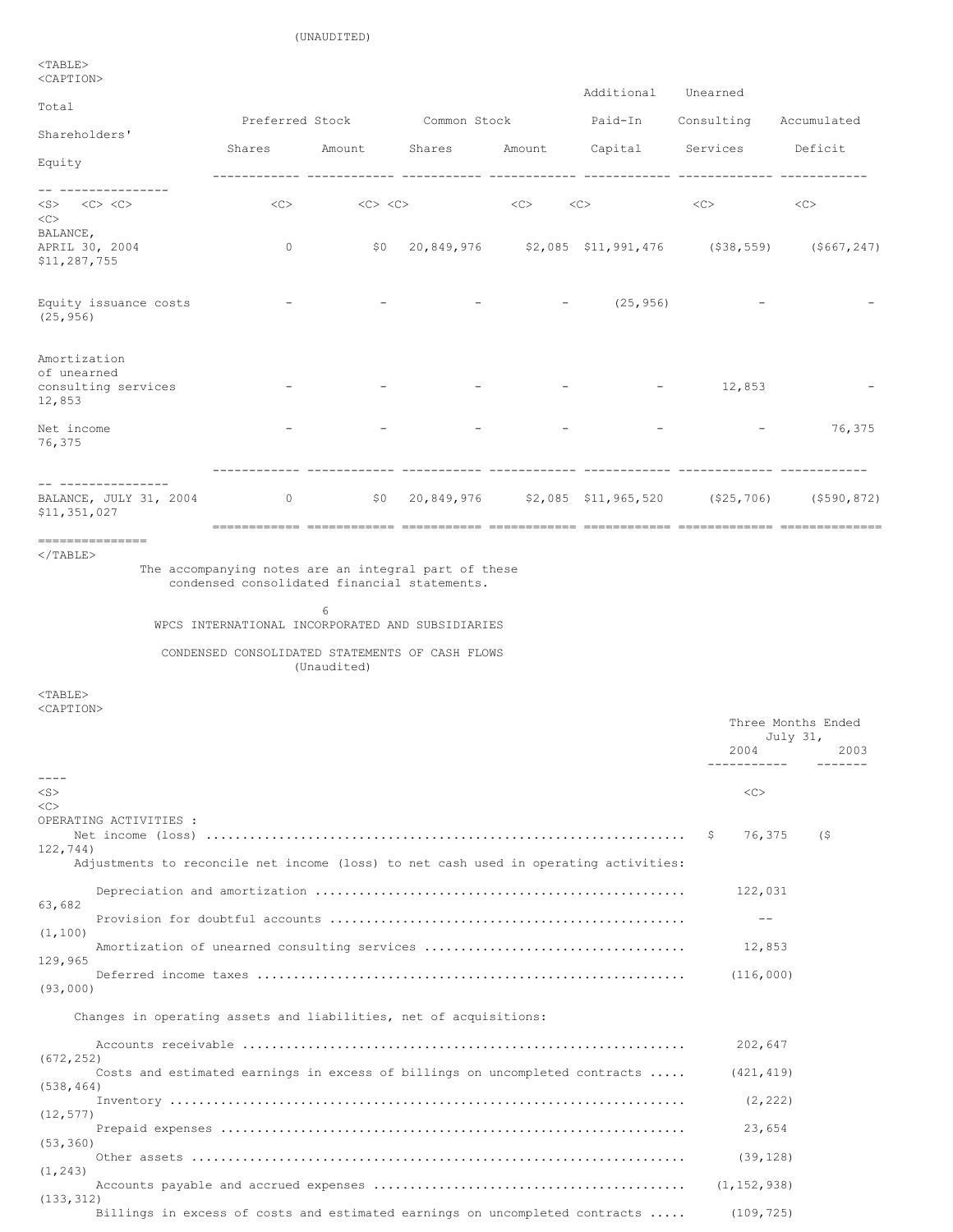# (UNAUDITED)

| <caption></caption>                                          |                 |                               |              |                                     | Additional       | Unearned                                                 |                |
|--------------------------------------------------------------|-----------------|-------------------------------|--------------|-------------------------------------|------------------|----------------------------------------------------------|----------------|
| Total                                                        | Preferred Stock |                               | Common Stock |                                     | Paid-In          | Consulting                                               | Accumulated    |
| Shareholders'<br>Equity                                      | Shares          | Amount                        | Shares       | Amount                              | Capital Services |                                                          | Deficit        |
|                                                              |                 |                               |              |                                     |                  |                                                          |                |
| $<\infty$<br>BALANCE,                                        | <<              | $<\heartsuit$ < $<\heartsuit$ |              | <<                                  | <<               | $<<$ $<$ $<$ $>$                                         | $<<$ C $>$     |
| APRIL 30, 2004<br>\$11,287,755                               | $\circ$         |                               |              |                                     |                  | \$0 20,849,976 \$2,085 \$11,991,476 (\$38,559)           | ( \$667, 247)  |
| Equity issuance costs<br>(25, 956)                           |                 |                               |              | the contract of the contract of the | (25, 956)        |                                                          |                |
| Amortization<br>of unearned<br>consulting services<br>12,853 |                 |                               |              | $\overline{\phantom{a}}$            | $\sim$           | 12,853                                                   |                |
| Net income<br>76,375                                         |                 |                               |              |                                     |                  |                                                          | 76,375         |
| ---------------<br>BALANCE, JULY 31, 2004<br>\$11,351,027    | $\circ$         |                               |              |                                     |                  | \$0  20,849,976    \$2,085    \$11,965,520    (\$25,706) | $($ \$590,872) |
| ---------------                                              |                 |                               |              |                                     |                  |                                                          |                |

 $<$ /TABLE>

<TABLE>

The accompanying notes are an integral part of these condensed consolidated financial statements.

6 WPCS INTERNATIONAL INCORPORATED AND SUBSIDIARIES

CONDENSED CONSOLIDATED STATEMENTS OF CASH FLOWS (Unaudited)

 $<$ TABLE $>$ <CAPTION>

| SUAPTIUN2                                                                                 | Three Months Ended<br>July $31,$<br>2004 | 2003 |
|-------------------------------------------------------------------------------------------|------------------------------------------|------|
| $- - - -$<br>$<$ S $>$                                                                    | <<                                       |      |
| <<                                                                                        |                                          |      |
| OPERATING ACTIVITIES :                                                                    |                                          |      |
| 122,744)                                                                                  | 76,375                                   | (\$  |
| Adjustments to reconcile net income (loss) to net cash used in operating activities:      |                                          |      |
| 63,682                                                                                    | 122,031                                  |      |
|                                                                                           | $ -$                                     |      |
| (1, 100)<br>129,965                                                                       | 12,853                                   |      |
| (93,000)                                                                                  | (116,000)                                |      |
| Changes in operating assets and liabilities, net of acquisitions:                         |                                          |      |
| (672, 252)                                                                                | 202,647                                  |      |
| Costs and estimated earnings in excess of billings on uncompleted contracts<br>(538, 464) | (421, 419)                               |      |
|                                                                                           | (2, 222)                                 |      |
| (12, 577)                                                                                 | 23,654                                   |      |
| (53, 360)<br>(1, 243)                                                                     | (39, 128)                                |      |
| (133, 312)                                                                                | (1, 152, 938)                            |      |
| Billings in excess of costs and estimated earnings on uncompleted contracts               | (109, 725)                               |      |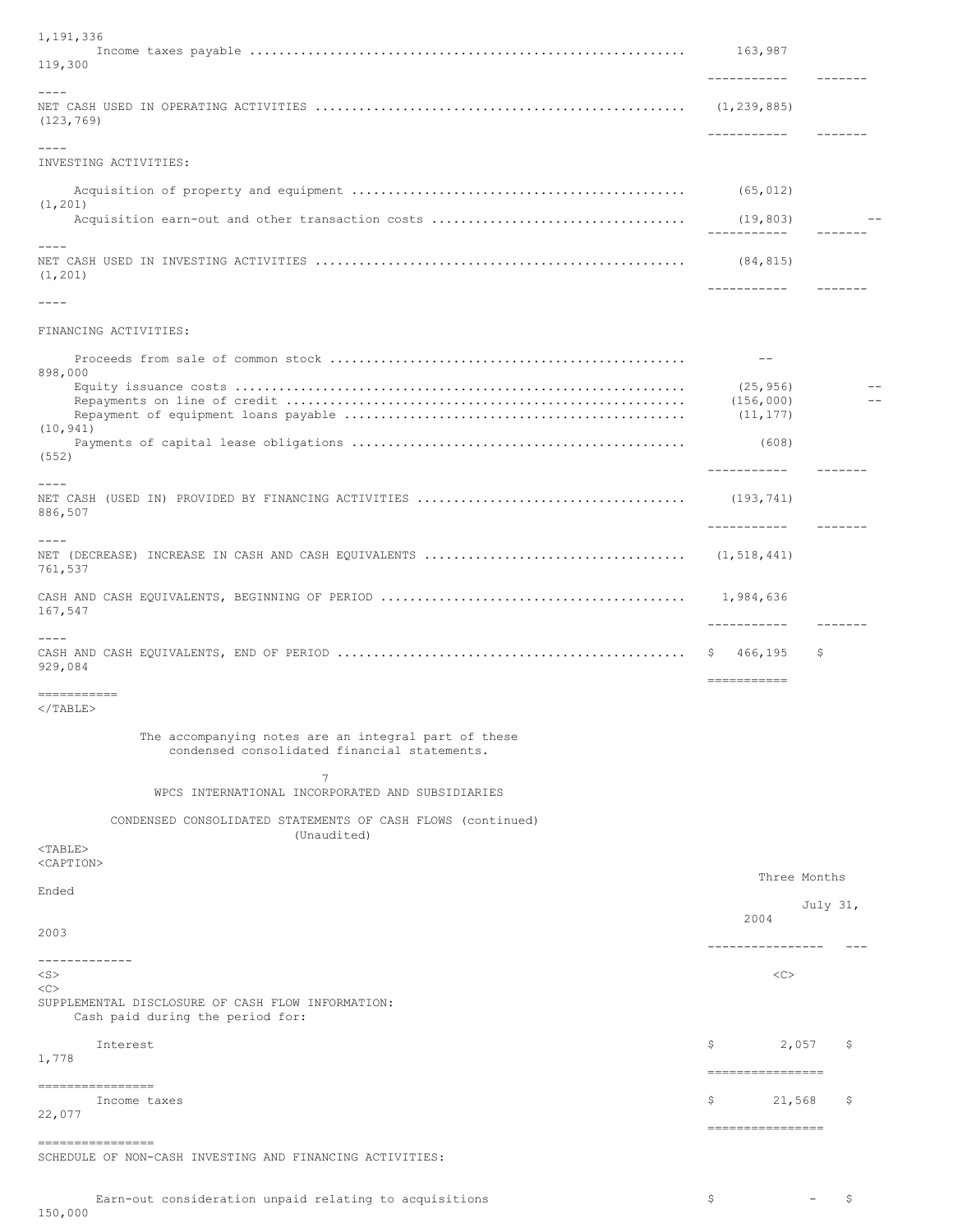1,191,336 Income taxes payable ............................................................ 163,987 119,300 ----------- ------- ---- NET CASH USED IN OPERATING ACTIVITIES ................................................... (1,239,885) (123,769) ----------- ------- ---- INVESTING ACTIVITIES: Acquisition of property and equipment .............................................. (65,012) (1,201) Acquisition earn-out and other transaction costs ................................... (19,803) -- ----------- ------- ---- NET CASH USED IN INVESTING ACTIVITIES ................................................... (84,815) (1,201) ----------- ------- ---- FINANCING ACTIVITIES: Proceeds from sale of common stock ................................................. -- 898,000 Equity issuance costs .............................................................. (25,956) -- Repayments on line of credit ....................................................... (156,000) -- Repayment of equipment loans payable ............................................... (11,177) (10,941) Payments of capital lease obligations .............................................. (608) (552) ----------- ------- ---- NET CASH (USED IN) PROVIDED BY FINANCING ACTIVITIES ..................................... (193,741) 886,507 ----------- ------- ---- NET (DECREASE) INCREASE IN CASH AND CASH EQUIVALENTS .................................... (1,518,441) 761,537 CASH AND CASH EQUIVALENTS, BEGINNING OF PERIOD .......................................... 1,984,636 167,547 ----------- ------- ---- CASH AND CASH EQUIVALENTS, END OF PERIOD ................................................ \$ 466,195 \$ 929,084 =========== ===========  $\langle$ /TABLE> The accompanying notes are an integral part of these condensed consolidated financial statements. 7 WPCS INTERNATIONAL INCORPORATED AND SUBSIDIARIES CONDENSED CONSOLIDATED STATEMENTS OF CASH FLOWS (continued) (Unaudited)  $<$ TABLE> <CAPTION> Three Months Ended July 31, 2004 2003 ---------------- --- ------------- <S> <C>  $\langle C \rangle$ SUPPLEMENTAL DISCLOSURE OF CASH FLOW INFORMATION: Cash paid during the period for: Interest  $\sim$  2,057 \$ 1,778 ================ ================ Income taxes  $\sim$  21,568  $\sim$  5 22,077 ================ ================ SCHEDULE OF NON-CASH INVESTING AND FINANCING ACTIVITIES: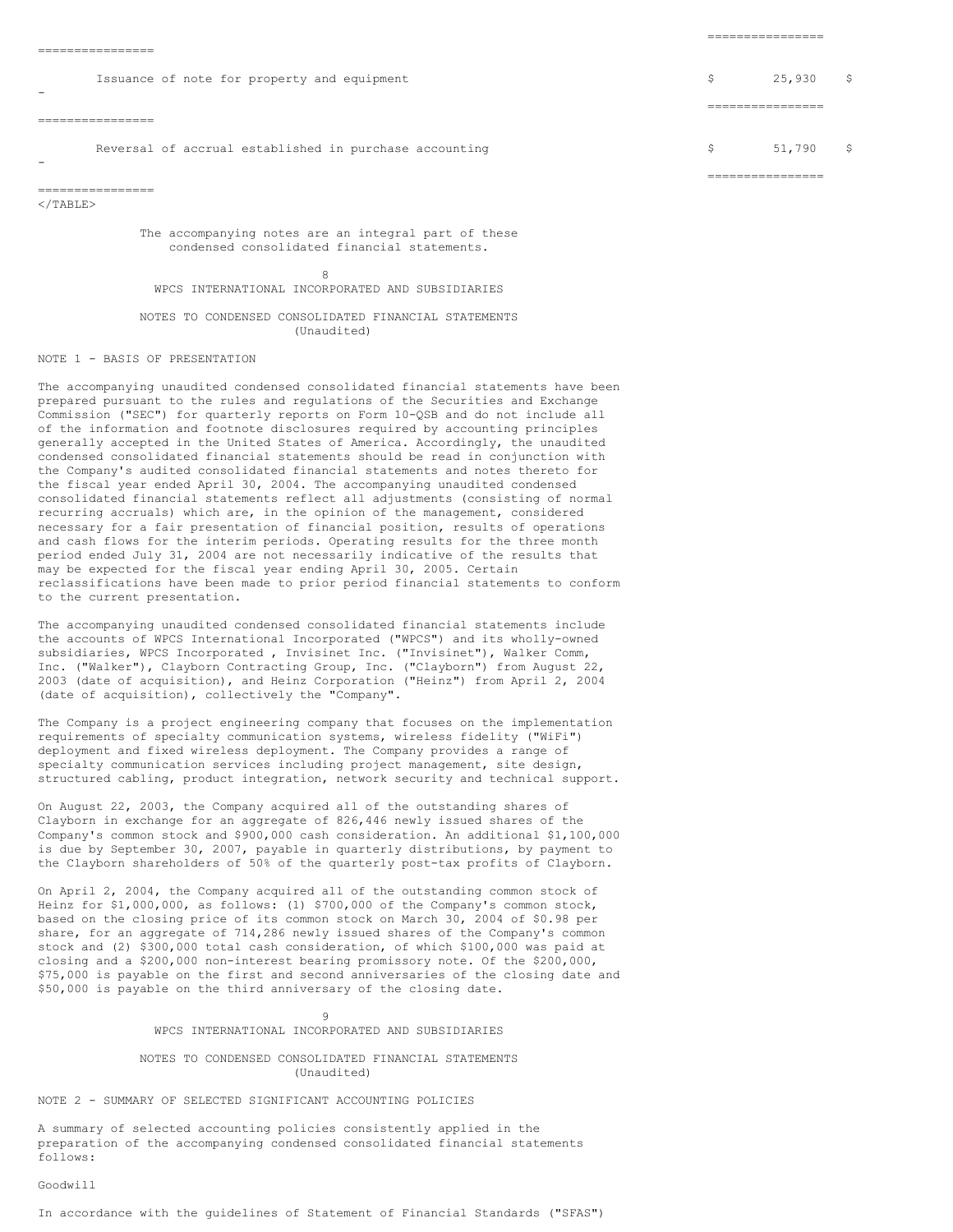================

================

Issuance of note for property and equipment  $\zeta$  25,930 \$ ================

================

Reversal of accrual established in purchase accounting  $\zeta$  51,790 \$

-

-

================

</TABLE>

The accompanying notes are an integral part of these condensed consolidated financial statements.

8 WPCS INTERNATIONAL INCORPORATED AND SUBSIDIARIES

NOTES TO CONDENSED CONSOLIDATED FINANCIAL STATEMENTS (Unaudited)

## NOTE 1 - BASIS OF PRESENTATION

The accompanying unaudited condensed consolidated financial statements have been prepared pursuant to the rules and regulations of the Securities and Exchange Commission ("SEC") for quarterly reports on Form 10-QSB and do not include all of the information and footnote disclosures required by accounting principles generally accepted in the United States of America. Accordingly, the unaudited condensed consolidated financial statements should be read in conjunction with the Company's audited consolidated financial statements and notes thereto for the fiscal year ended April 30, 2004. The accompanying unaudited condensed consolidated financial statements reflect all adjustments (consisting of normal recurring accruals) which are, in the opinion of the management, considered necessary for a fair presentation of financial position, results of operations and cash flows for the interim periods. Operating results for the three month period ended July 31, 2004 are not necessarily indicative of the results that may be expected for the fiscal year ending April 30, 2005. Certain reclassifications have been made to prior period financial statements to conform to the current presentation.

The accompanying unaudited condensed consolidated financial statements include the accounts of WPCS International Incorporated ("WPCS") and its wholly-owned subsidiaries, WPCS Incorporated , Invisinet Inc. ("Invisinet"), Walker Comm, Inc. ("Walker"), Clayborn Contracting Group, Inc. ("Clayborn") from August 22, 2003 (date of acquisition), and Heinz Corporation ("Heinz") from April 2, 2004 (date of acquisition), collectively the "Company".

The Company is a project engineering company that focuses on the implementation requirements of specialty communication systems, wireless fidelity ("WiFi") deployment and fixed wireless deployment. The Company provides a range of specialty communication services including project management, site design, structured cabling, product integration, network security and technical support.

On August 22, 2003, the Company acquired all of the outstanding shares of Clayborn in exchange for an aggregate of 826,446 newly issued shares of the Company's common stock and \$900,000 cash consideration. An additional \$1,100,000 is due by September 30, 2007, payable in quarterly distributions, by payment to the Clayborn shareholders of 50% of the quarterly post-tax profits of Clayborn.

On April 2, 2004, the Company acquired all of the outstanding common stock of Heinz for \$1,000,000, as follows: (1) \$700,000 of the Company's common stock, based on the closing price of its common stock on March 30, 2004 of \$0.98 per share, for an aggregate of 714,286 newly issued shares of the Company's common stock and (2) \$300,000 total cash consideration, of which \$100,000 was paid at closing and a \$200,000 non-interest bearing promissory note. Of the \$200,000, \$75,000 is payable on the first and second anniversaries of the closing date and \$50,000 is payable on the third anniversary of the closing date.

> $\alpha$ WPCS INTERNATIONAL INCORPORATED AND SUBSIDIARIES

# NOTES TO CONDENSED CONSOLIDATED FINANCIAL STATEMENTS (Unaudited)

# NOTE 2 - SUMMARY OF SELECTED SIGNIFICANT ACCOUNTING POLICIES

A summary of selected accounting policies consistently applied in the preparation of the accompanying condensed consolidated financial statements follows:

#### Goodwill

In accordance with the guidelines of Statement of Financial Standards ("SFAS")

================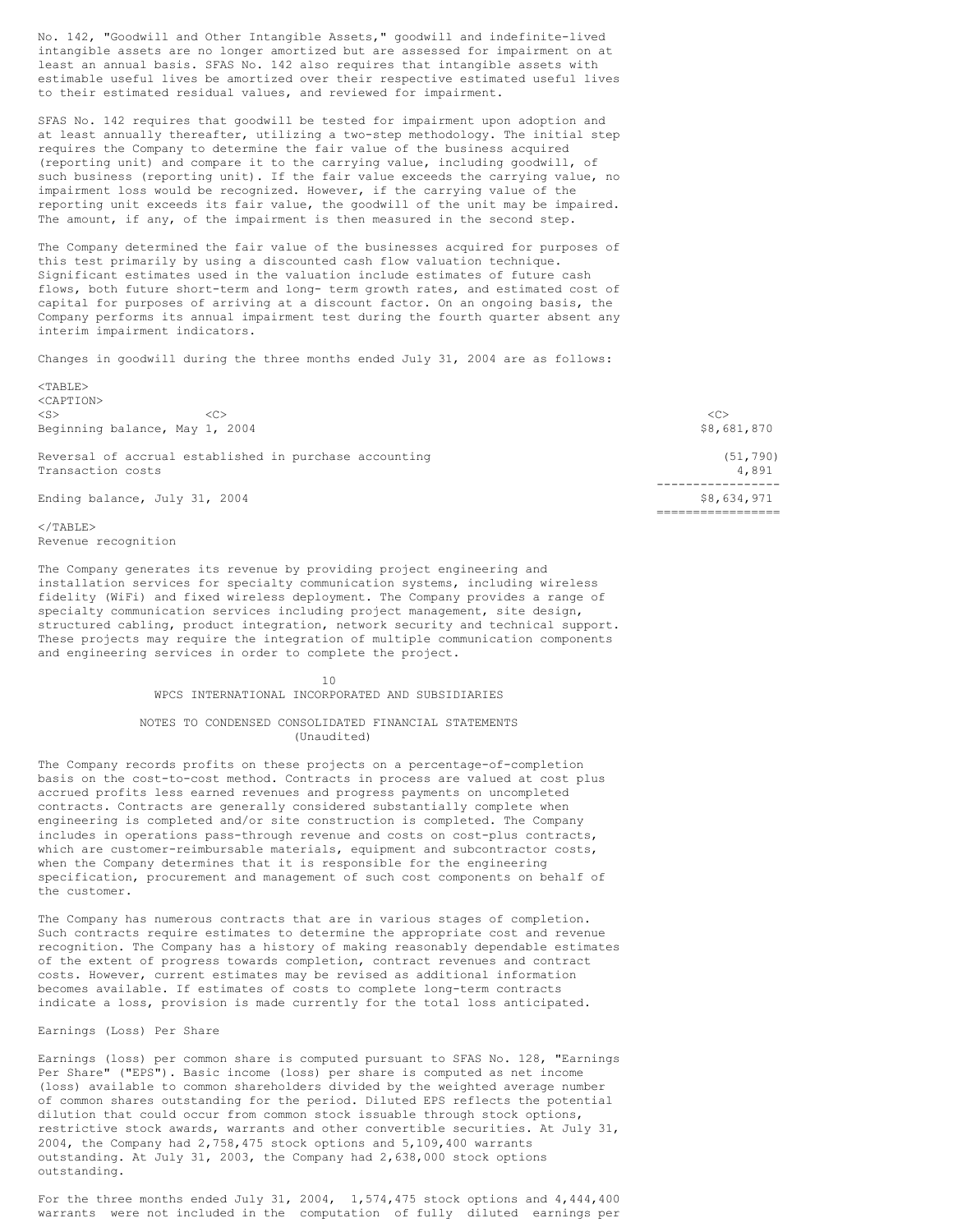No. 142, "Goodwill and Other Intangible Assets," goodwill and indefinite-lived intangible assets are no longer amortized but are assessed for impairment on at least an annual basis. SFAS No. 142 also requires that intangible assets with estimable useful lives be amortized over their respective estimated useful lives to their estimated residual values, and reviewed for impairment.

SFAS No. 142 requires that goodwill be tested for impairment upon adoption and at least annually thereafter, utilizing a two-step methodology. The initial step requires the Company to determine the fair value of the business acquired (reporting unit) and compare it to the carrying value, including goodwill, of such business (reporting unit). If the fair value exceeds the carrying value, no impairment loss would be recognized. However, if the carrying value of the reporting unit exceeds its fair value, the goodwill of the unit may be impaired. The amount, if any, of the impairment is then measured in the second step.

The Company determined the fair value of the businesses acquired for purposes of this test primarily by using a discounted cash flow valuation technique. Significant estimates used in the valuation include estimates of future cash flows, both future short-term and long- term growth rates, and estimated cost of capital for purposes of arriving at a discount factor. On an ongoing basis, the Company performs its annual impairment test during the fourth quarter absent any interim impairment indicators.

Changes in goodwill during the three months ended July 31, 2004 are as follows:

| $<$ TABLE>                                                                  |                    |
|-----------------------------------------------------------------------------|--------------------|
| <caption></caption>                                                         |                    |
| $<$ S><br><<                                                                | <<                 |
| Beginning balance, May 1, 2004                                              | \$8,681,870        |
| Reversal of accrual established in purchase accounting<br>Transaction costs | (51, 790)<br>4,891 |
| Ending balance, July 31, 2004                                               | \$8,634,971        |
|                                                                             |                    |

 $\langle$ /TABLE> Revenue recognition

The Company generates its revenue by providing project engineering and installation services for specialty communication systems, including wireless fidelity (WiFi) and fixed wireless deployment. The Company provides a range of specialty communication services including project management, site design, structured cabling, product integration, network security and technical support. These projects may require the integration of multiple communication components and engineering services in order to complete the project.

> 10 WPCS INTERNATIONAL INCORPORATED AND SUBSIDIARIES

NOTES TO CONDENSED CONSOLIDATED FINANCIAL STATEMENTS (Unaudited)

The Company records profits on these projects on a percentage-of-completion basis on the cost-to-cost method. Contracts in process are valued at cost plus accrued profits less earned revenues and progress payments on uncompleted contracts. Contracts are generally considered substantially complete when engineering is completed and/or site construction is completed. The Company includes in operations pass-through revenue and costs on cost-plus contracts, which are customer-reimbursable materials, equipment and subcontractor costs, when the Company determines that it is responsible for the engineering specification, procurement and management of such cost components on behalf of the customer.

The Company has numerous contracts that are in various stages of completion. Such contracts require estimates to determine the appropriate cost and revenue recognition. The Company has a history of making reasonably dependable estimates of the extent of progress towards completion, contract revenues and contract costs. However, current estimates may be revised as additional information becomes available. If estimates of costs to complete long-term contracts indicate a loss, provision is made currently for the total loss anticipated.

Earnings (Loss) Per Share

Earnings (loss) per common share is computed pursuant to SFAS No. 128, "Earnings Per Share" ("EPS"). Basic income (loss) per share is computed as net income (loss) available to common shareholders divided by the weighted average number of common shares outstanding for the period. Diluted EPS reflects the potential dilution that could occur from common stock issuable through stock options, restrictive stock awards, warrants and other convertible securities. At July 31, 2004, the Company had 2,758,475 stock options and 5,109,400 warrants outstanding. At July 31, 2003, the Company had 2,638,000 stock options outstanding.

For the three months ended July 31, 2004, 1,574,475 stock options and 4,444,400 warrants were not included in the computation of fully diluted earnings per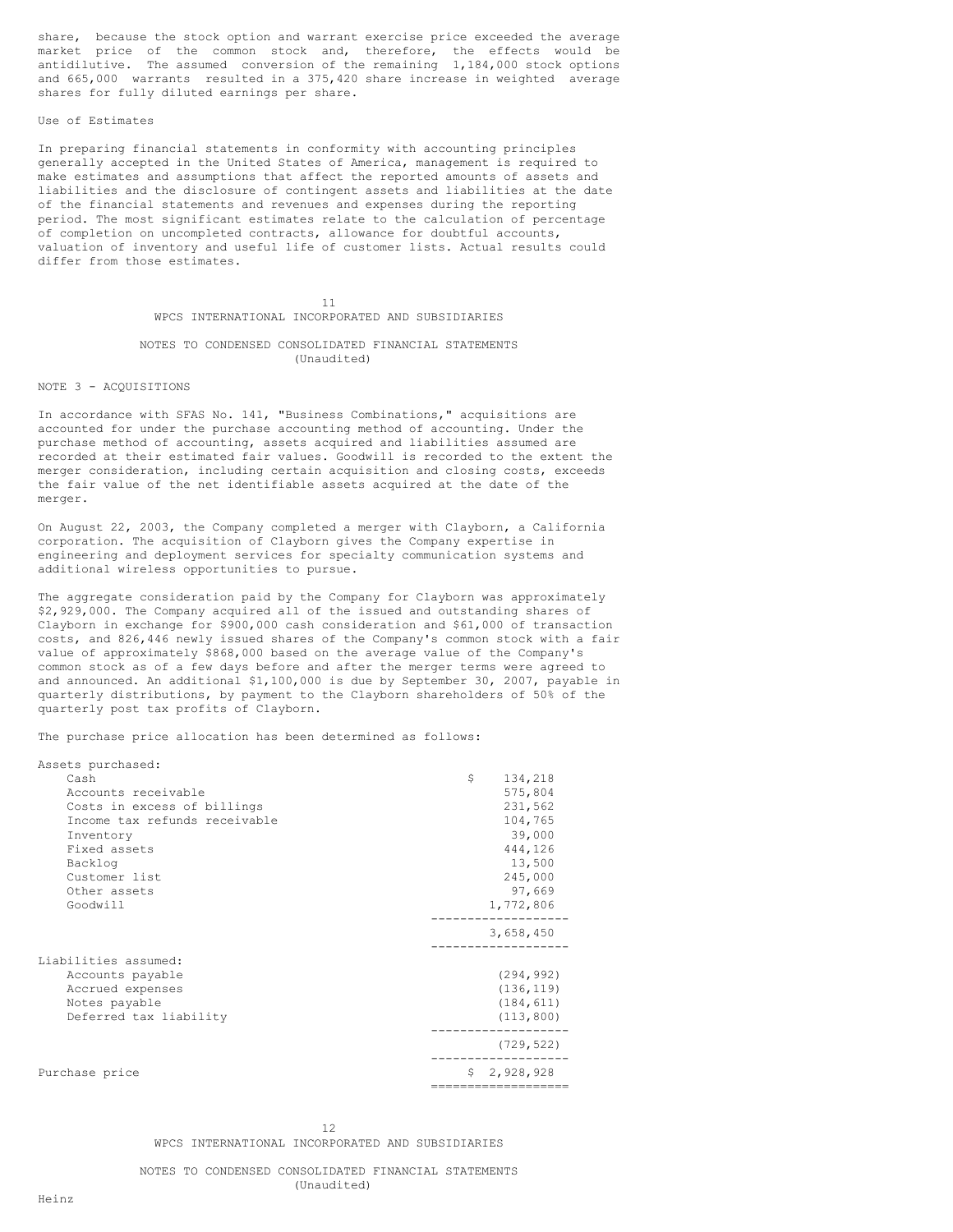share, because the stock option and warrant exercise price exceeded the average market price of the common stock and, therefore, the effects would be antidilutive. The assumed conversion of the remaining 1,184,000 stock options and 665,000 warrants resulted in a 375,420 share increase in weighted average shares for fully diluted earnings per share.

#### Use of Estimates

In preparing financial statements in conformity with accounting principles generally accepted in the United States of America, management is required to make estimates and assumptions that affect the reported amounts of assets and liabilities and the disclosure of contingent assets and liabilities at the date of the financial statements and revenues and expenses during the reporting period. The most significant estimates relate to the calculation of percentage of completion on uncompleted contracts, allowance for doubtful accounts, valuation of inventory and useful life of customer lists. Actual results could differ from those estimates.

> 11 WPCS INTERNATIONAL INCORPORATED AND SUBSIDIARIES

# NOTES TO CONDENSED CONSOLIDATED FINANCIAL STATEMENTS (Unaudited)

#### NOTE 3 - ACQUISITIONS

In accordance with SFAS No. 141, "Business Combinations," acquisitions are accounted for under the purchase accounting method of accounting. Under the purchase method of accounting, assets acquired and liabilities assumed are recorded at their estimated fair values. Goodwill is recorded to the extent the merger consideration, including certain acquisition and closing costs, exceeds the fair value of the net identifiable assets acquired at the date of the merger.

On August 22, 2003, the Company completed a merger with Clayborn, a California corporation. The acquisition of Clayborn gives the Company expertise in engineering and deployment services for specialty communication systems and additional wireless opportunities to pursue.

The aggregate consideration paid by the Company for Clayborn was approximately \$2,929,000. The Company acquired all of the issued and outstanding shares of Clayborn in exchange for \$900,000 cash consideration and \$61,000 of transaction costs, and 826,446 newly issued shares of the Company's common stock with a fair value of approximately \$868,000 based on the average value of the Company's common stock as of a few days before and after the merger terms were agreed to and announced. An additional \$1,100,000 is due by September 30, 2007, payable in quarterly distributions, by payment to the Clayborn shareholders of 50% of the quarterly post tax profits of Clayborn.

The purchase price allocation has been determined as follows:

| Assets purchased:             |                      |
|-------------------------------|----------------------|
| Cash                          | \$<br>134,218        |
| Accounts receivable           | 575,804              |
| Costs in excess of billings   | 231,562              |
| Income tax refunds receivable | 104,765              |
| Inventory                     | 39,000               |
| Fixed assets                  | 444,126              |
| Backlog                       | 13,500               |
| Customer list                 | 245,000              |
| Other assets                  | 97,669               |
| Goodwill                      | 1,772,806            |
|                               | 3,658,450            |
| Liabilities assumed:          |                      |
| Accounts payable              | (294, 992)           |
| Accrued expenses              | (136, 119)           |
| Notes payable                 | (184, 611)           |
| Deferred tax liability        | (113, 800)           |
|                               | (729, 522)           |
| Purchase price                | Ŝ.<br>2,928,928      |
|                               | ==================== |

12 WPCS INTERNATIONAL INCORPORATED AND SUBSIDIARIES

NOTES TO CONDENSED CONSOLIDATED FINANCIAL STATEMENTS (Unaudited)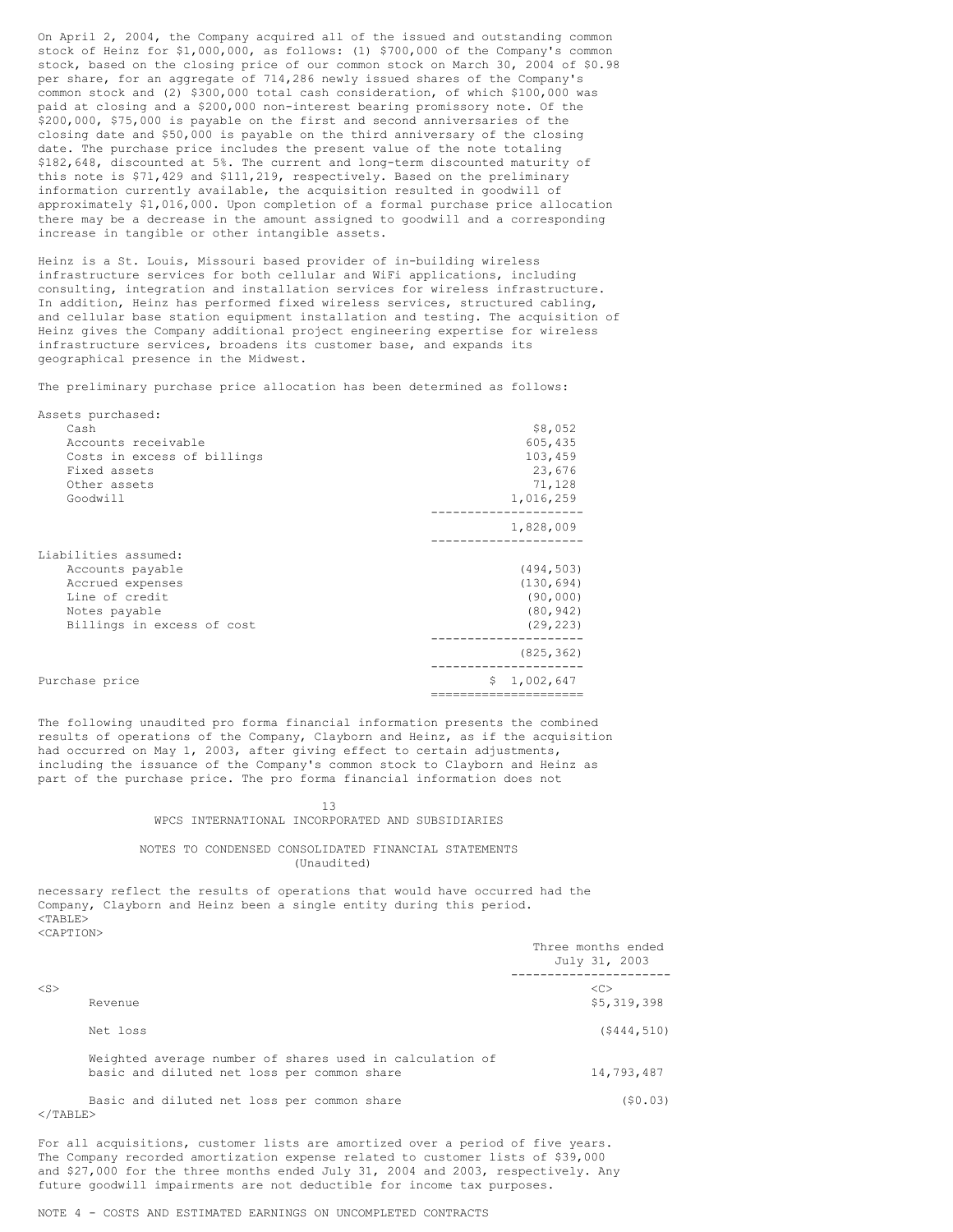On April 2, 2004, the Company acquired all of the issued and outstanding common stock of Heinz for \$1,000,000, as follows: (1) \$700,000 of the Company's common stock, based on the closing price of our common stock on March 30, 2004 of \$0.98 per share, for an aggregate of 714,286 newly issued shares of the Company's common stock and (2) \$300,000 total cash consideration, of which \$100,000 was paid at closing and a \$200,000 non-interest bearing promissory note. Of the \$200,000, \$75,000 is payable on the first and second anniversaries of the closing date and \$50,000 is payable on the third anniversary of the closing date. The purchase price includes the present value of the note totaling \$182,648, discounted at 5%. The current and long-term discounted maturity of this note is \$71,429 and \$111,219, respectively. Based on the preliminary information currently available, the acquisition resulted in goodwill of approximately \$1,016,000. Upon completion of a formal purchase price allocation there may be a decrease in the amount assigned to goodwill and a corresponding increase in tangible or other intangible assets.

Heinz is a St. Louis, Missouri based provider of in-building wireless infrastructure services for both cellular and WiFi applications, including consulting, integration and installation services for wireless infrastructure. In addition, Heinz has performed fixed wireless services, structured cabling, and cellular base station equipment installation and testing. The acquisition of Heinz gives the Company additional project engineering expertise for wireless infrastructure services, broadens its customer base, and expands its geographical presence in the Midwest.

The preliminary purchase price allocation has been determined as follows:

| Assets purchased:           |             |
|-----------------------------|-------------|
| Cash                        | \$8,052     |
| Accounts receivable         | 605,435     |
| Costs in excess of billings | 103,459     |
| Fixed assets                | 23,676      |
| Other assets                | 71,128      |
| Goodwill                    | 1,016,259   |
|                             | 1,828,009   |
| Liabilities assumed:        |             |
| Accounts payable            | (494, 503)  |
| Accrued expenses            | (130, 694)  |
| Line of credit              | (90,000)    |
| Notes payable               | (80, 942)   |
| Billings in excess of cost  | (29, 223)   |
|                             | (825, 362)  |
| Purchase price              | \$1,002,647 |
|                             |             |

The following unaudited pro forma financial information presents the combined results of operations of the Company, Clayborn and Heinz, as if the acquisition had occurred on May 1, 2003, after giving effect to certain adjustments, including the issuance of the Company's common stock to Clayborn and Heinz as part of the purchase price. The pro forma financial information does not

# 13 WPCS INTERNATIONAL INCORPORATED AND SUBSIDIARIES

# NOTES TO CONDENSED CONSOLIDATED FINANCIAL STATEMENTS (Unaudited)

necessary reflect the results of operations that would have occurred had the Company, Clayborn and Heinz been a single entity during this period.  $<$ TABLE $>$ <CAPTION>

|           |                                                                                                         | Three months ended<br>July 31, 2003 |
|-----------|---------------------------------------------------------------------------------------------------------|-------------------------------------|
| $<$ S $>$ | Revenue                                                                                                 | < <sub><br/>\$5,319,398</sub>       |
|           | Net loss                                                                                                | ( \$444, 510)                       |
|           | Weighted average number of shares used in calculation of<br>basic and diluted net loss per common share | 14,793,487                          |
|           | Basic and diluted net loss per common share                                                             | (50.03)                             |

 $<$ /TABLE>

For all acquisitions, customer lists are amortized over a period of five years. The Company recorded amortization expense related to customer lists of \$39,000 and \$27,000 for the three months ended July 31, 2004 and 2003, respectively. Any future goodwill impairments are not deductible for income tax purposes.

# NOTE 4 - COSTS AND ESTIMATED EARNINGS ON UNCOMPLETED CONTRACTS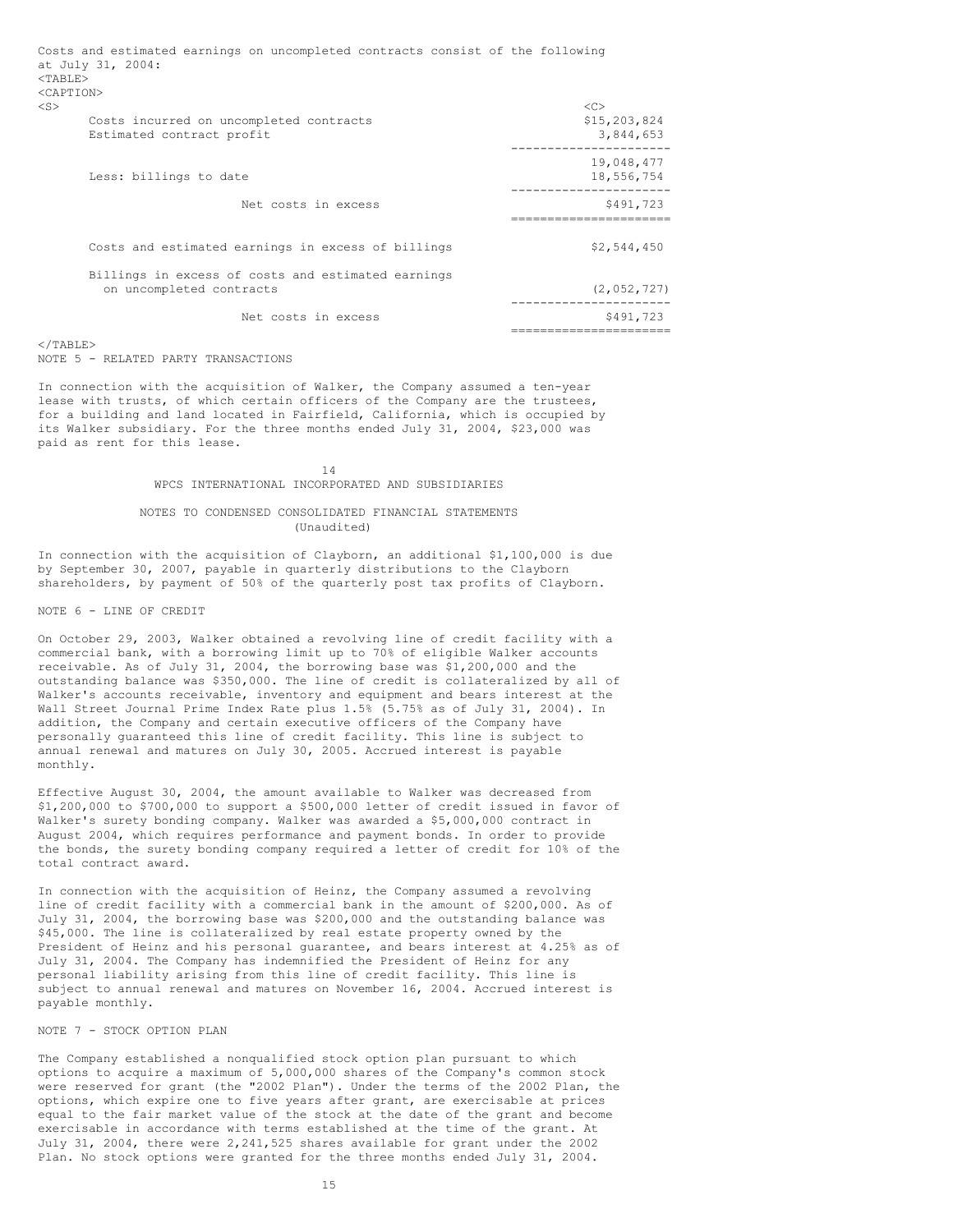Costs and estimated earnings on uncompleted contracts consist of the following at July 31, 2004: <TABLE> <CAPTION> <S> <C> Costs incurred on uncompleted contracts<br>Estimated contract profit 3,844,653 Estimated contract profit ---------------------- 19,048,477

| Less: billings to date                                                         | 18,556,754    |
|--------------------------------------------------------------------------------|---------------|
| Net costs in excess                                                            | \$491,723     |
| Costs and estimated earnings in excess of billings                             | \$2,544,450   |
| Billings in excess of costs and estimated earnings<br>on uncompleted contracts | (2, 052, 727) |
| Net costs in excess                                                            | \$491,723     |

# $<$ /TABLE>

## NOTE 5 - RELATED PARTY TRANSACTIONS

In connection with the acquisition of Walker, the Company assumed a ten-year lease with trusts, of which certain officers of the Company are the trustees, for a building and land located in Fairfield, California, which is occupied by its Walker subsidiary. For the three months ended July 31, 2004, \$23,000 was paid as rent for this lease.

> 14 WPCS INTERNATIONAL INCORPORATED AND SUBSIDIARIES

# NOTES TO CONDENSED CONSOLIDATED FINANCIAL STATEMENTS (Unaudited)

In connection with the acquisition of Clayborn, an additional \$1,100,000 is due by September 30, 2007, payable in quarterly distributions to the Clayborn shareholders, by payment of 50% of the quarterly post tax profits of Clayborn.

#### NOTE 6 - LINE OF CREDIT

On October 29, 2003, Walker obtained a revolving line of credit facility with a commercial bank, with a borrowing limit up to 70% of eligible Walker accounts receivable. As of July 31, 2004, the borrowing base was \$1,200,000 and the outstanding balance was \$350,000. The line of credit is collateralized by all of Walker's accounts receivable, inventory and equipment and bears interest at the Wall Street Journal Prime Index Rate plus 1.5% (5.75% as of July 31, 2004). In addition, the Company and certain executive officers of the Company have personally guaranteed this line of credit facility. This line is subject to annual renewal and matures on July 30, 2005. Accrued interest is payable monthly.

Effective August 30, 2004, the amount available to Walker was decreased from \$1,200,000 to \$700,000 to support a \$500,000 letter of credit issued in favor of Walker's surety bonding company. Walker was awarded a \$5,000,000 contract in August 2004, which requires performance and payment bonds. In order to provide the bonds, the surety bonding company required a letter of credit for 10% of the total contract award.

In connection with the acquisition of Heinz, the Company assumed a revolving line of credit facility with a commercial bank in the amount of \$200,000. As of July 31, 2004, the borrowing base was \$200,000 and the outstanding balance was \$45,000. The line is collateralized by real estate property owned by the President of Heinz and his personal guarantee, and bears interest at 4.25% as of July 31, 2004. The Company has indemnified the President of Heinz for any personal liability arising from this line of credit facility. This line is subject to annual renewal and matures on November 16, 2004. Accrued interest is payable monthly.

#### NOTE 7 - STOCK OPTION PLAN

The Company established a nonqualified stock option plan pursuant to which options to acquire a maximum of 5,000,000 shares of the Company's common stock were reserved for grant (the "2002 Plan"). Under the terms of the 2002 Plan, the options, which expire one to five years after grant, are exercisable at prices equal to the fair market value of the stock at the date of the grant and become exercisable in accordance with terms established at the time of the grant. At July 31, 2004, there were 2,241,525 shares available for grant under the 2002 Plan. No stock options were granted for the three months ended July 31, 2004.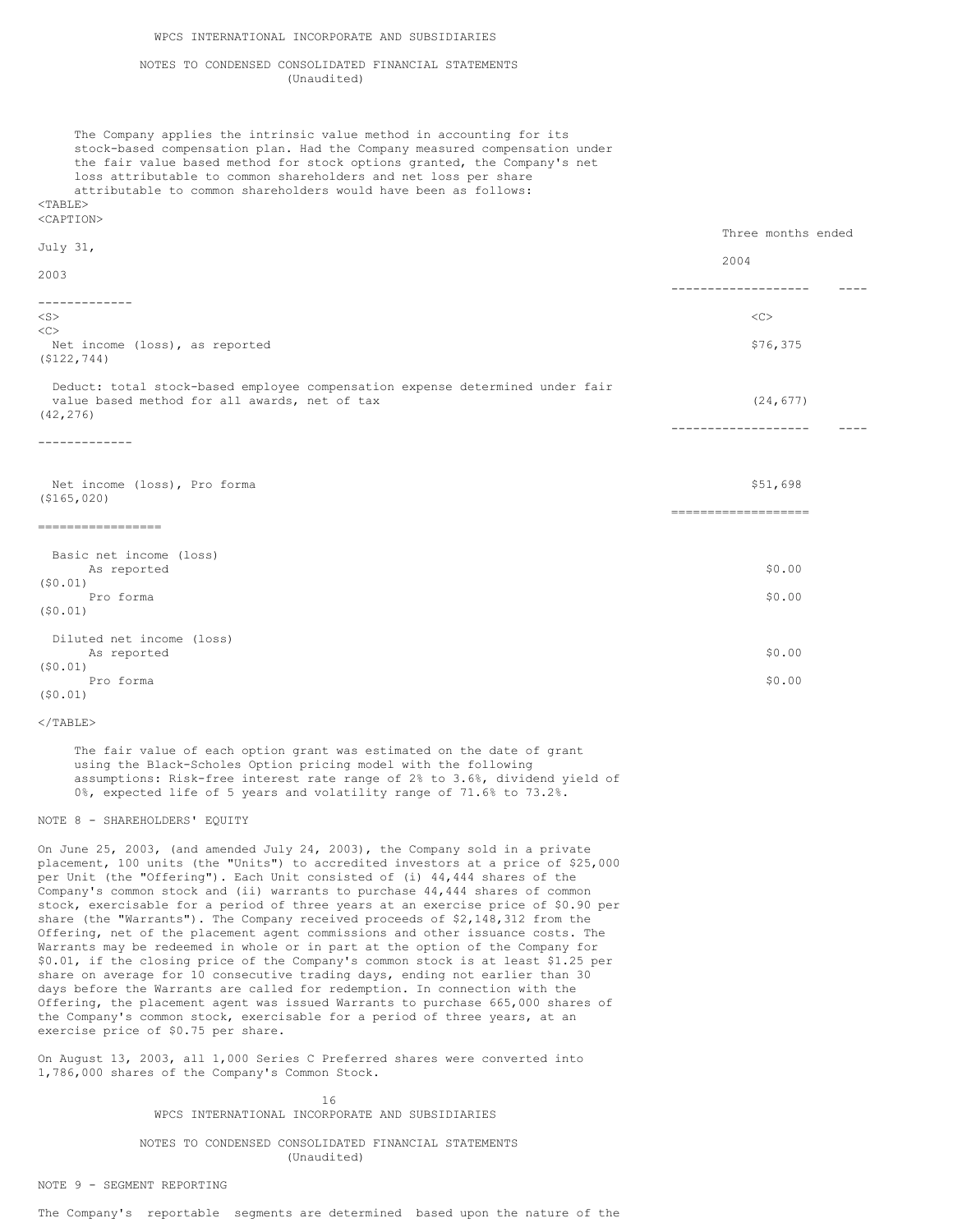#### WPCS INTERNATIONAL INCORPORATE AND SUBSIDIARIES

#### NOTES TO CONDENSED CONSOLIDATED FINANCIAL STATEMENTS (Unaudited)

The Company applies the intrinsic value method in accounting for its stock-based compensation plan. Had the Company measured compensation under the fair value based method for stock options granted, the Company's net loss attributable to common shareholders and net loss per share attributable to common shareholders would have been as follows: <TABLE> <CAPTION>

|                                                                                                                                             | Three months ended  |  |  |  |
|---------------------------------------------------------------------------------------------------------------------------------------------|---------------------|--|--|--|
| July 31,                                                                                                                                    | 2004                |  |  |  |
| 2003                                                                                                                                        |                     |  |  |  |
| -------------                                                                                                                               |                     |  |  |  |
| $<$ S $>$                                                                                                                                   | $<\infty$           |  |  |  |
| $<\infty$                                                                                                                                   |                     |  |  |  |
| Net income (loss), as reported<br>( \$122, 744)                                                                                             | \$76,375            |  |  |  |
| Deduct: total stock-based employee compensation expense determined under fair<br>value based method for all awards, net of tax<br>(42, 276) | (24, 677)           |  |  |  |
|                                                                                                                                             |                     |  |  |  |
| -----------                                                                                                                                 |                     |  |  |  |
| Net income (loss), Pro forma<br>( \$165, 020)                                                                                               | \$51,698            |  |  |  |
| ==================                                                                                                                          | ------------------- |  |  |  |
| Basic net income (loss)                                                                                                                     |                     |  |  |  |
| As reported                                                                                                                                 | \$0.00              |  |  |  |
| (50.01)<br>Pro forma                                                                                                                        | \$0.00              |  |  |  |
| (50.01)                                                                                                                                     |                     |  |  |  |
| Diluted net income (loss)                                                                                                                   |                     |  |  |  |
| As reported                                                                                                                                 | \$0.00              |  |  |  |
| (50.01)<br>Pro forma                                                                                                                        | \$0.00              |  |  |  |
| (50.01)                                                                                                                                     |                     |  |  |  |

 $<$ /TABLE>

The fair value of each option grant was estimated on the date of grant using the Black-Scholes Option pricing model with the following assumptions: Risk-free interest rate range of 2% to 3.6%, dividend yield of 0%, expected life of 5 years and volatility range of 71.6% to 73.2%.

NOTE 8 - SHAREHOLDERS' EQUITY

On June 25, 2003, (and amended July 24, 2003), the Company sold in a private placement, 100 units (the "Units") to accredited investors at a price of \$25,000 per Unit (the "Offering"). Each Unit consisted of (i) 44,444 shares of the Company's common stock and (ii) warrants to purchase 44,444 shares of common stock, exercisable for a period of three years at an exercise price of \$0.90 per share (the "Warrants"). The Company received proceeds of \$2,148,312 from the Offering, net of the placement agent commissions and other issuance costs. The Warrants may be redeemed in whole or in part at the option of the Company for \$0.01, if the closing price of the Company's common stock is at least \$1.25 per share on average for 10 consecutive trading days, ending not earlier than 30 days before the Warrants are called for redemption. In connection with the Offering, the placement agent was issued Warrants to purchase 665,000 shares of the Company's common stock, exercisable for a period of three years, at an exercise price of \$0.75 per share.

On August 13, 2003, all 1,000 Series C Preferred shares were converted into 1,786,000 shares of the Company's Common Stock.

> 16 WPCS INTERNATIONAL INCORPORATE AND SUBSIDIARIES

NOTES TO CONDENSED CONSOLIDATED FINANCIAL STATEMENTS (Unaudited)

NOTE 9 - SEGMENT REPORTING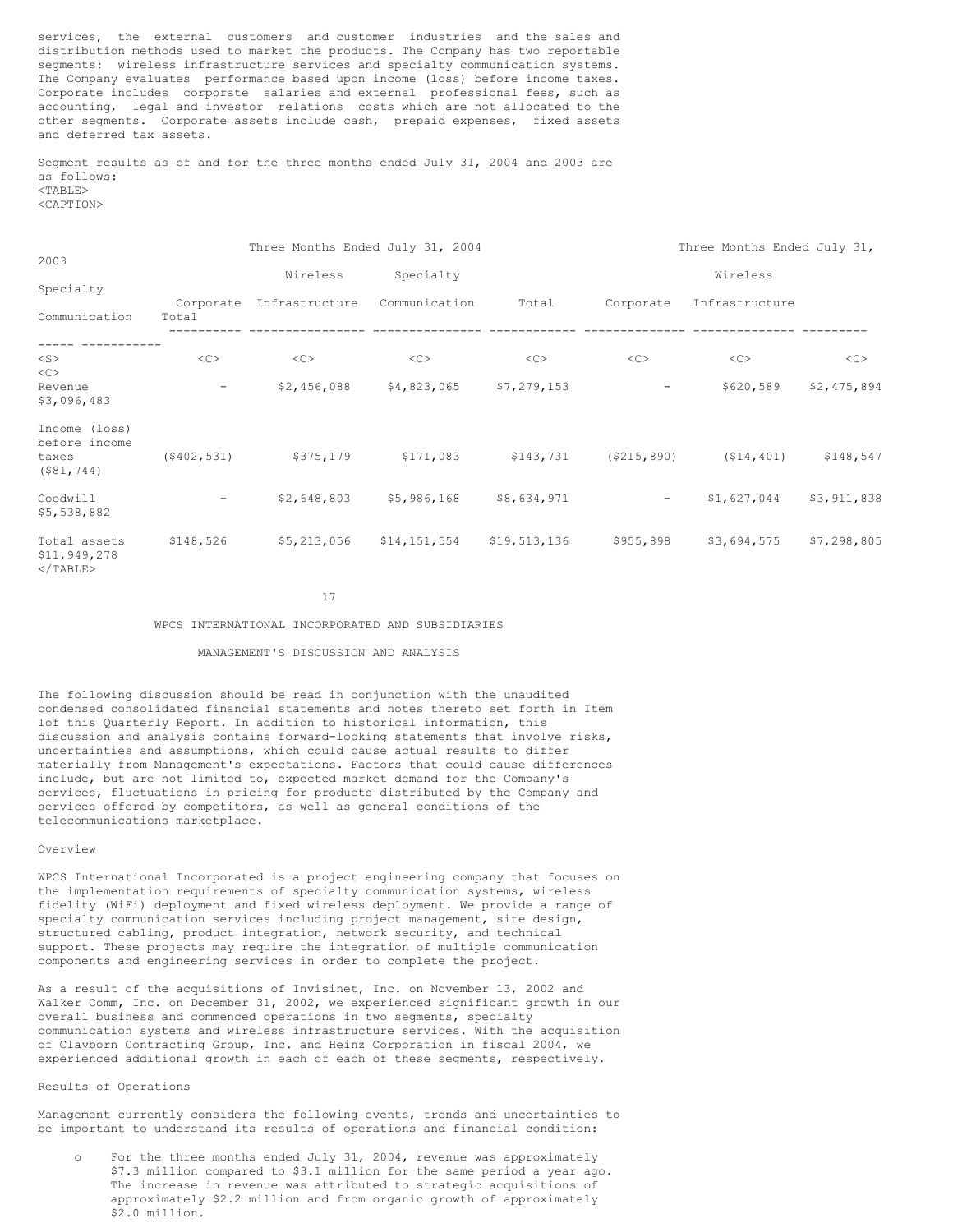services, the external customers and customer industries and the sales and distribution methods used to market the products. The Company has two reportable segments: wireless infrastructure services and specialty communication systems. The Company evaluates performance based upon income (loss) before income taxes. Corporate includes corporate salaries and external professional fees, such as accounting, legal and investor relations costs which are not allocated to the other segments. Corporate assets include cash, prepaid expenses, fixed assets and deferred tax assets.

Segment results as of and for the three months ended July 31, 2004 and 2003 are as follows:  $<$ TABLE> <CAPTION>

|                                                          | Three Months Ended July 31, 2004 |                |                |              | Three Months Ended July 31, |                |             |
|----------------------------------------------------------|----------------------------------|----------------|----------------|--------------|-----------------------------|----------------|-------------|
| 2003                                                     |                                  | Wireless       | Specialty      |              | Wireless                    |                |             |
| Specialty<br>Communication                               | Corporate<br>Total               | Infrastructure | Communication  | Total        | Corporate                   | Infrastructure |             |
| $<$ S $>$                                                | <<                               | <<             | <<             | <<           | <<                          | <<             | <<          |
| <<<br>Revenue<br>\$3,096,483                             | $\overline{\phantom{a}}$         | \$2,456,088    | \$4,823,065    | \$7,279,153  | -                           | \$620,589      | \$2,475,894 |
| Income (loss)<br>before income<br>taxes<br>$($ \$81,744) | $($ \$402,531)                   | \$375,179      | \$171,083      | \$143,731    | ( \$215, 890)               | (S14, 401)     | \$148,547   |
| Goodwill<br>\$5,538,882                                  | $\overline{\phantom{m}}$         | \$2,648,803    | \$5,986,168    | \$8,634,971  | $\overline{\phantom{a}}$    | \$1,627,044    | \$3,911,838 |
| Total assets<br>\$11,949,278<br>$<$ /TABLE>              | \$148,526                        | \$5,213,056    | \$14, 151, 554 | \$19,513,136 | \$955,898                   | \$3,694,575    | \$7,298,805 |

17

#### WPCS INTERNATIONAL INCORPORATED AND SUBSIDIARIES

#### MANAGEMENT'S DISCUSSION AND ANALYSIS

The following discussion should be read in conjunction with the unaudited condensed consolidated financial statements and notes thereto set forth in Item 1of this Quarterly Report. In addition to historical information, this discussion and analysis contains forward-looking statements that involve risks, uncertainties and assumptions, which could cause actual results to differ materially from Management's expectations. Factors that could cause differences include, but are not limited to, expected market demand for the Company's services, fluctuations in pricing for products distributed by the Company and services offered by competitors, as well as general conditions of the telecommunications marketplace.

#### Overview

WPCS International Incorporated is a project engineering company that focuses on the implementation requirements of specialty communication systems, wireless fidelity (WiFi) deployment and fixed wireless deployment. We provide a range of specialty communication services including project management, site design, structured cabling, product integration, network security, and technical support. These projects may require the integration of multiple communication components and engineering services in order to complete the project.

As a result of the acquisitions of Invisinet, Inc. on November 13, 2002 and Walker Comm, Inc. on December 31, 2002, we experienced significant growth in our overall business and commenced operations in two segments, specialty communication systems and wireless infrastructure services. With the acquisition of Clayborn Contracting Group, Inc. and Heinz Corporation in fiscal 2004, we experienced additional growth in each of each of these segments, respectively.

#### Results of Operations

Management currently considers the following events, trends and uncertainties to be important to understand its results of operations and financial condition:

For the three months ended July 31, 2004, revenue was approximately \$7.3 million compared to \$3.1 million for the same period a year ago. The increase in revenue was attributed to strategic acquisitions of approximately \$2.2 million and from organic growth of approximately \$2.0 million.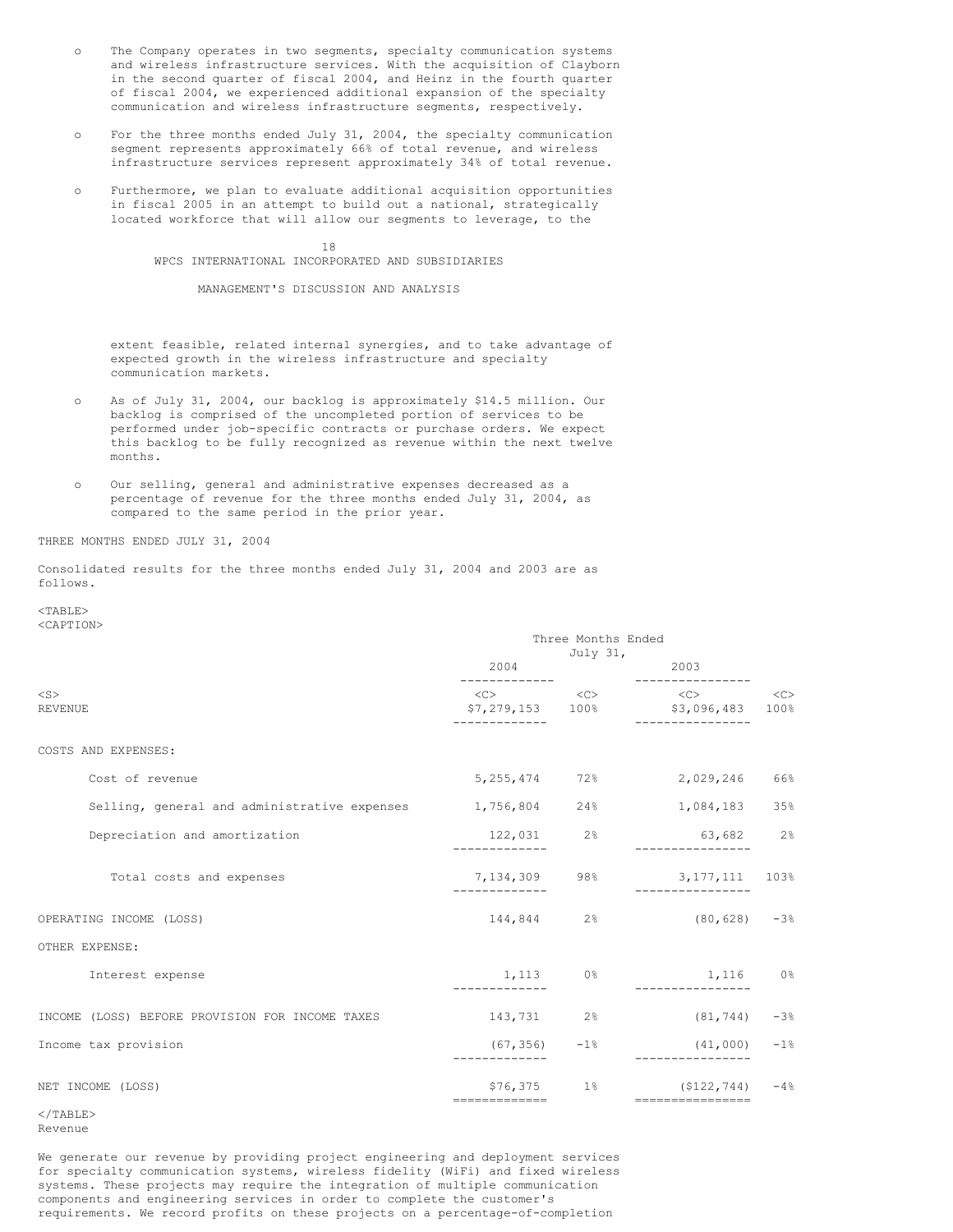- o The Company operates in two segments, specialty communication systems and wireless infrastructure services. With the acquisition of Clayborn in the second quarter of fiscal 2004, and Heinz in the fourth quarter of fiscal 2004, we experienced additional expansion of the specialty communication and wireless infrastructure segments, respectively.
- For the three months ended July 31, 2004, the specialty communication segment represents approximately 66% of total revenue, and wireless infrastructure services represent approximately 34% of total revenue.
- o Furthermore, we plan to evaluate additional acquisition opportunities in fiscal 2005 in an attempt to build out a national, strategically located workforce that will allow our segments to leverage, to the

18 WPCS INTERNATIONAL INCORPORATED AND SUBSIDIARIES

MANAGEMENT'S DISCUSSION AND ANALYSIS

extent feasible, related internal synergies, and to take advantage of expected growth in the wireless infrastructure and specialty communication markets.

- o As of July 31, 2004, our backlog is approximately \$14.5 million. Our backlog is comprised of the uncompleted portion of services to be performed under job-specific contracts or purchase orders. We expect this backlog to be fully recognized as revenue within the next twelve months.
- o Our selling, general and administrative expenses decreased as a percentage of revenue for the three months ended July 31, 2004, as compared to the same period in the prior year.

THREE MONTHS ENDED JULY 31, 2004

Consolidated results for the three months ended July 31, 2004 and 2003 are as follows.

# $<$ TABLE>

<CAPTION>

|                                                 | Three Months Ended<br>July 31, |  |                                                                                                           |       |
|-------------------------------------------------|--------------------------------|--|-----------------------------------------------------------------------------------------------------------|-------|
|                                                 | 2004                           |  | 2003                                                                                                      |       |
| $<$ S $>$<br><b>REVENUE</b>                     | $<<$ $<$ $>$                   |  | $\langle C \rangle$ $\langle C \rangle$ $\langle C \rangle$<br>\$7,279,153 100% \$3,096,483<br>---------- | 100%  |
| COSTS AND EXPENSES:                             |                                |  |                                                                                                           |       |
| Cost of revenue                                 |                                |  | 5,255,474 72% 2,029,246                                                                                   | 66%   |
| Selling, general and administrative expenses    |                                |  | 1,756,804 24% 1,084,183                                                                                   | 35%   |
| Depreciation and amortization                   | 122,031 2%                     |  | $63,682$ 2%<br>---------                                                                                  |       |
| Total costs and expenses                        |                                |  | 7,134,309 98% 3,177,111 103%                                                                              |       |
| OPERATING INCOME (LOSS)                         | 144,844                        |  | $2\%$ (80,628) $-3\%$                                                                                     |       |
| OTHER EXPENSE:                                  |                                |  |                                                                                                           |       |
| Interest expense                                | $1,113$ 0%                     |  | $1,116$ 0%<br>----------                                                                                  |       |
| INCOME (LOSS) BEFORE PROVISION FOR INCOME TAXES | 143,731                        |  | $2\%$ (81,744) $-3\%$                                                                                     |       |
| Income tax provision                            |                                |  | $(67, 356)$ $-1$ <sup>8</sup> (41,000)<br>----------                                                      | $-1%$ |
| NET INCOME (LOSS)                               | -------------                  |  | $$76,375$ 1% (\$122,744) -4%<br>-----------------                                                         |       |

 $\langle$ /TABLE> Revenue

We generate our revenue by providing project engineering and deployment services for specialty communication systems, wireless fidelity (WiFi) and fixed wireless systems. These projects may require the integration of multiple communication components and engineering services in order to complete the customer's requirements. We record profits on these projects on a percentage-of-completion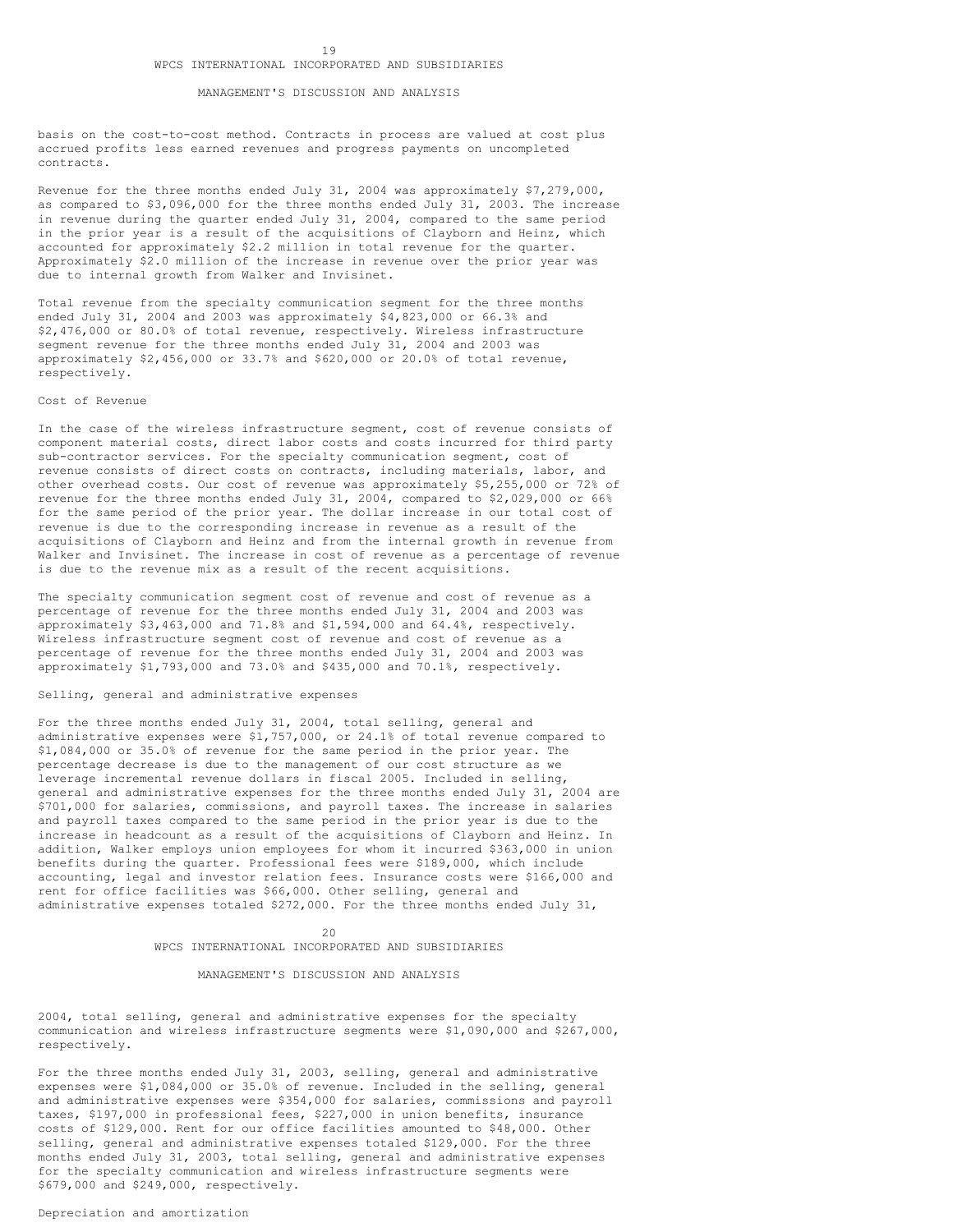#### WPCS INTERNATIONAL INCORPORATED AND SUBSIDIARIES

# MANAGEMENT'S DISCUSSION AND ANALYSIS

basis on the cost-to-cost method. Contracts in process are valued at cost plus accrued profits less earned revenues and progress payments on uncompleted contracts.

Revenue for the three months ended July 31, 2004 was approximately \$7,279,000, as compared to \$3,096,000 for the three months ended July 31, 2003. The increase in revenue during the quarter ended July 31, 2004, compared to the same period in the prior year is a result of the acquisitions of Clayborn and Heinz, which accounted for approximately \$2.2 million in total revenue for the quarter. Approximately \$2.0 million of the increase in revenue over the prior year was due to internal growth from Walker and Invisinet.

Total revenue from the specialty communication segment for the three months ended July 31, 2004 and 2003 was approximately  $$4,823,000$  or  $66.3$ % and \$2,476,000 or 80.0% of total revenue, respectively. Wireless infrastructure segment revenue for the three months ended July 31, 2004 and 2003 was approximately \$2,456,000 or 33.7% and \$620,000 or 20.0% of total revenue, respectively.

#### Cost of Revenue

In the case of the wireless infrastructure segment, cost of revenue consists of component material costs, direct labor costs and costs incurred for third party sub-contractor services. For the specialty communication segment, cost of revenue consists of direct costs on contracts, including materials, labor, and other overhead costs. Our cost of revenue was approximately \$5,255,000 or 72% of revenue for the three months ended July 31, 2004, compared to \$2,029,000 or 66% for the same period of the prior year. The dollar increase in our total cost of revenue is due to the corresponding increase in revenue as a result of the acquisitions of Clayborn and Heinz and from the internal growth in revenue from Walker and Invisinet. The increase in cost of revenue as a percentage of revenue is due to the revenue mix as a result of the recent acquisitions.

The specialty communication segment cost of revenue and cost of revenue as a percentage of revenue for the three months ended July 31, 2004 and 2003 was approximately \$3,463,000 and 71.8% and \$1,594,000 and 64.4%, respectively. Wireless infrastructure segment cost of revenue and cost of revenue as a percentage of revenue for the three months ended July 31, 2004 and 2003 was approximately \$1,793,000 and 73.0% and \$435,000 and 70.1%, respectively.

# Selling, general and administrative expenses

For the three months ended July 31, 2004, total selling, general and administrative expenses were \$1,757,000, or 24.1% of total revenue compared to \$1,084,000 or 35.0% of revenue for the same period in the prior year. The percentage decrease is due to the management of our cost structure as we leverage incremental revenue dollars in fiscal 2005. Included in selling, general and administrative expenses for the three months ended July 31, 2004 are \$701,000 for salaries, commissions, and payroll taxes. The increase in salaries and payroll taxes compared to the same period in the prior year is due to the increase in headcount as a result of the acquisitions of Clayborn and Heinz. In addition, Walker employs union employees for whom it incurred \$363,000 in union benefits during the quarter. Professional fees were \$189,000, which include accounting, legal and investor relation fees. Insurance costs were \$166,000 and rent for office facilities was \$66,000. Other selling, general and administrative expenses totaled \$272,000. For the three months ended July 31,

> $20$ WPCS INTERNATIONAL INCORPORATED AND SUBSIDIARIES

#### MANAGEMENT'S DISCUSSION AND ANALYSIS

2004, total selling, general and administrative expenses for the specialty communication and wireless infrastructure segments were \$1,090,000 and \$267,000, respectively.

For the three months ended July 31, 2003, selling, general and administrative expenses were \$1,084,000 or 35.0% of revenue. Included in the selling, general and administrative expenses were \$354,000 for salaries, commissions and payroll taxes, \$197,000 in professional fees, \$227,000 in union benefits, insurance costs of \$129,000. Rent for our office facilities amounted to \$48,000. Other selling, general and administrative expenses totaled \$129,000. For the three months ended July 31, 2003, total selling, general and administrative expenses for the specialty communication and wireless infrastructure segments were \$679,000 and \$249,000, respectively.

# Depreciation and amortization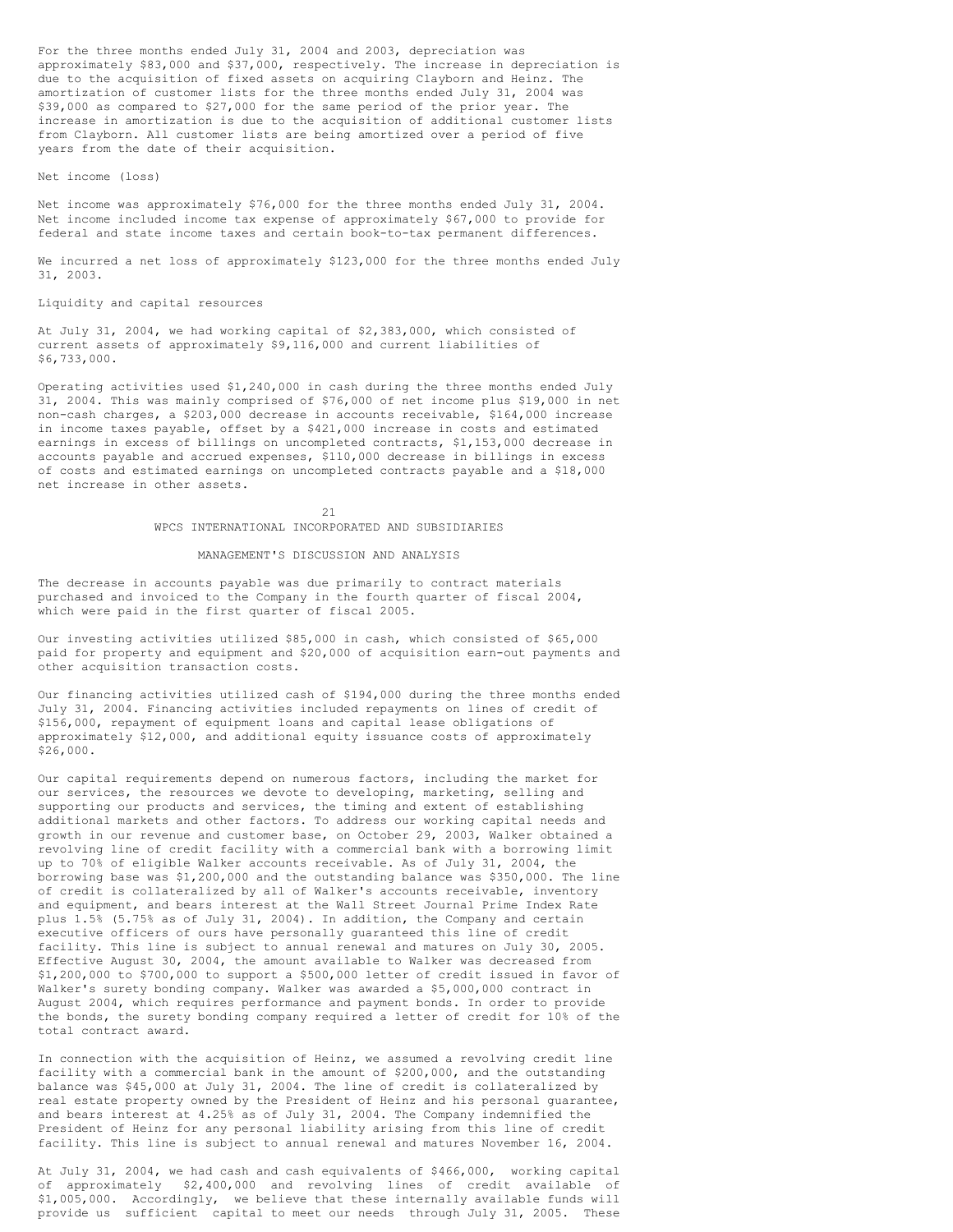For the three months ended July 31, 2004 and 2003, depreciation was approximately \$83,000 and \$37,000, respectively. The increase in depreciation is due to the acquisition of fixed assets on acquiring Clayborn and Heinz. The amortization of customer lists for the three months ended July 31, 2004 was \$39,000 as compared to \$27,000 for the same period of the prior year. The increase in amortization is due to the acquisition of additional customer lists from Clayborn. All customer lists are being amortized over a period of five years from the date of their acquisition.

# Net income (loss)

Net income was approximately \$76,000 for the three months ended July 31, 2004. Net income included income tax expense of approximately \$67,000 to provide for federal and state income taxes and certain book-to-tax permanent differences.

We incurred a net loss of approximately \$123,000 for the three months ended July 31, 2003.

#### Liquidity and capital resources

At July 31, 2004, we had working capital of \$2,383,000, which consisted of current assets of approximately \$9,116,000 and current liabilities of \$6,733,000.

Operating activities used \$1,240,000 in cash during the three months ended July 31, 2004. This was mainly comprised of \$76,000 of net income plus \$19,000 in net non-cash charges, a \$203,000 decrease in accounts receivable, \$164,000 increase in income taxes payable, offset by a \$421,000 increase in costs and estimated earnings in excess of billings on uncompleted contracts, \$1,153,000 decrease in accounts payable and accrued expenses, \$110,000 decrease in billings in excess of costs and estimated earnings on uncompleted contracts payable and a \$18,000 net increase in other assets.

> 21 WPCS INTERNATIONAL INCORPORATED AND SUBSIDIARIES

# MANAGEMENT'S DISCUSSION AND ANALYSIS

The decrease in accounts payable was due primarily to contract materials purchased and invoiced to the Company in the fourth quarter of fiscal 2004, which were paid in the first quarter of fiscal 2005.

Our investing activities utilized \$85,000 in cash, which consisted of \$65,000 paid for property and equipment and \$20,000 of acquisition earn-out payments and other acquisition transaction costs.

Our financing activities utilized cash of \$194,000 during the three months ended July 31, 2004. Financing activities included repayments on lines of credit of \$156,000, repayment of equipment loans and capital lease obligations of approximately \$12,000, and additional equity issuance costs of approximately \$26,000.

Our capital requirements depend on numerous factors, including the market for our services, the resources we devote to developing, marketing, selling and supporting our products and services, the timing and extent of establishing additional markets and other factors. To address our working capital needs and growth in our revenue and customer base, on October 29, 2003, Walker obtained a revolving line of credit facility with a commercial bank with a borrowing limit up to 70% of eligible Walker accounts receivable. As of July 31, 2004, the borrowing base was \$1,200,000 and the outstanding balance was \$350,000. The line of credit is collateralized by all of Walker's accounts receivable, inventory and equipment, and bears interest at the Wall Street Journal Prime Index Rate plus 1.5% (5.75% as of July 31, 2004). In addition, the Company and certain executive officers of ours have personally guaranteed this line of credit facility. This line is subject to annual renewal and matures on July 30, 2005. Effective August 30, 2004, the amount available to Walker was decreased from \$1,200,000 to \$700,000 to support a \$500,000 letter of credit issued in favor of Walker's surety bonding company. Walker was awarded a \$5,000,000 contract in August 2004, which requires performance and payment bonds. In order to provide the bonds, the surety bonding company required a letter of credit for 10% of the total contract award.

In connection with the acquisition of Heinz, we assumed a revolving credit line facility with a commercial bank in the amount of \$200,000, and the outstanding balance was \$45,000 at July 31, 2004. The line of credit is collateralized by real estate property owned by the President of Heinz and his personal guarantee, and bears interest at 4.25% as of July 31, 2004. The Company indemnified the President of Heinz for any personal liability arising from this line of credit facility. This line is subject to annual renewal and matures November 16, 2004.

At July 31, 2004, we had cash and cash equivalents of \$466,000, working capital of approximately \$2,400,000 and revolving lines of credit available of \$1,005,000. Accordingly, we believe that these internally available funds will provide us sufficient capital to meet our needs through July 31, 2005. These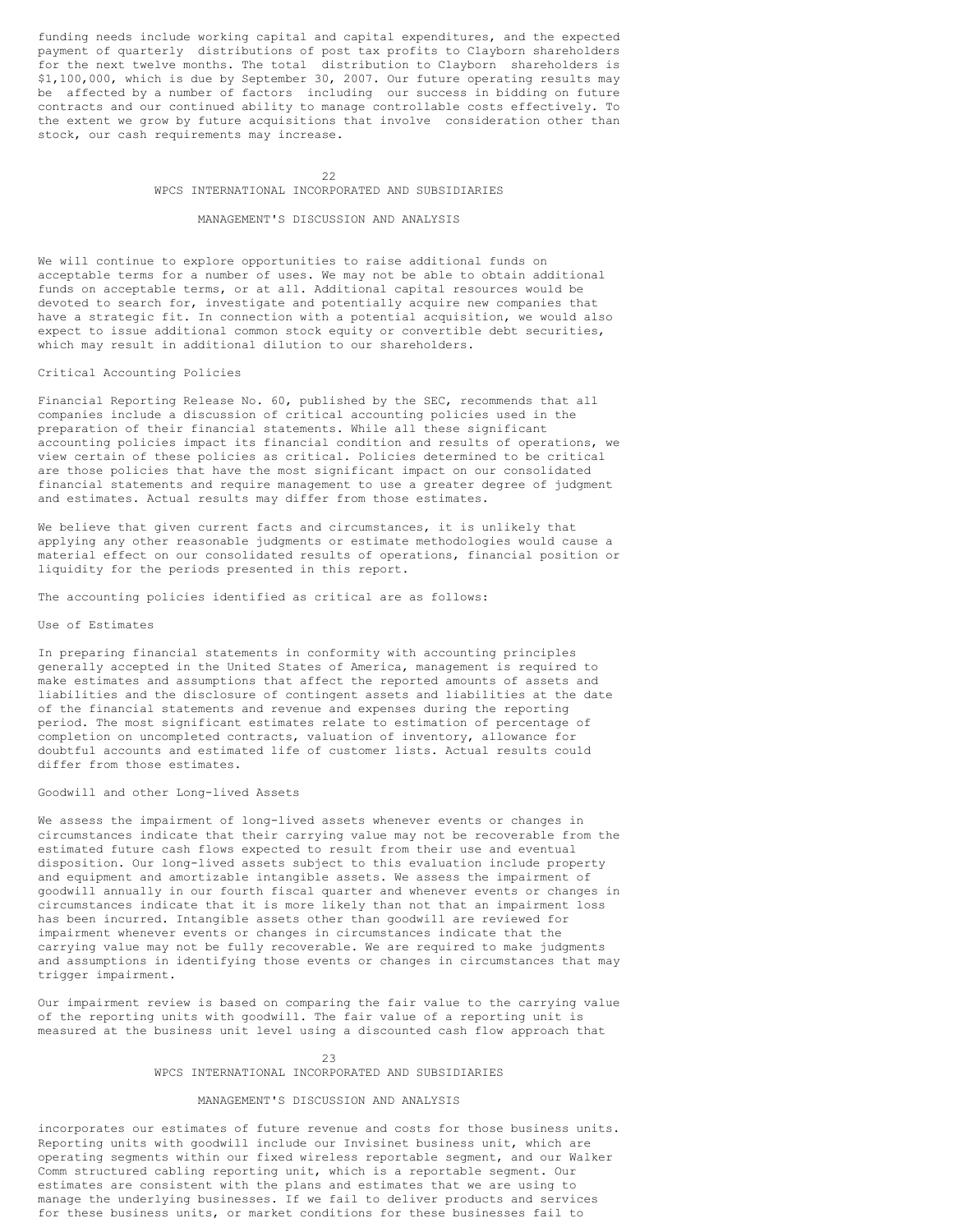funding needs include working capital and capital expenditures, and the expected payment of quarterly distributions of post tax profits to Clayborn shareholders for the next twelve months. The total distribution to Clayborn shareholders is \$1,100,000, which is due by September 30, 2007. Our future operating results may be affected by a number of factors including our success in bidding on future contracts and our continued ability to manage controllable costs effectively. To the extent we grow by future acquisitions that involve consideration other than stock, our cash requirements may increase.

> 22 WPCS INTERNATIONAL INCORPORATED AND SUBSIDIARIES

> > MANAGEMENT'S DISCUSSION AND ANALYSIS

We will continue to explore opportunities to raise additional funds on acceptable terms for a number of uses. We may not be able to obtain additional funds on acceptable terms, or at all. Additional capital resources would be devoted to search for, investigate and potentially acquire new companies that have a strategic fit. In connection with a potential acquisition, we would also expect to issue additional common stock equity or convertible debt securities, which may result in additional dilution to our shareholders.

#### Critical Accounting Policies

Financial Reporting Release No. 60, published by the SEC, recommends that all companies include a discussion of critical accounting policies used in the preparation of their financial statements. While all these significant accounting policies impact its financial condition and results of operations, we view certain of these policies as critical. Policies determined to be critical are those policies that have the most significant impact on our consolidated financial statements and require management to use a greater degree of judgment and estimates. Actual results may differ from those estimates.

We believe that given current facts and circumstances, it is unlikely that applying any other reasonable judgments or estimate methodologies would cause a material effect on our consolidated results of operations, financial position or liquidity for the periods presented in this report.

The accounting policies identified as critical are as follows:

#### Use of Estimates

In preparing financial statements in conformity with accounting principles generally accepted in the United States of America, management is required to make estimates and assumptions that affect the reported amounts of assets and liabilities and the disclosure of contingent assets and liabilities at the date of the financial statements and revenue and expenses during the reporting period. The most significant estimates relate to estimation of percentage of completion on uncompleted contracts, valuation of inventory, allowance for doubtful accounts and estimated life of customer lists. Actual results could differ from those estimates.

# Goodwill and other Long-lived Assets

We assess the impairment of long-lived assets whenever events or changes in circumstances indicate that their carrying value may not be recoverable from the estimated future cash flows expected to result from their use and eventual disposition. Our long-lived assets subject to this evaluation include property and equipment and amortizable intangible assets. We assess the impairment of goodwill annually in our fourth fiscal quarter and whenever events or changes in circumstances indicate that it is more likely than not that an impairment loss has been incurred. Intangible assets other than goodwill are reviewed for impairment whenever events or changes in circumstances indicate that the carrying value may not be fully recoverable. We are required to make judgments and assumptions in identifying those events or changes in circumstances that may trigger impairment.

Our impairment review is based on comparing the fair value to the carrying value of the reporting units with goodwill. The fair value of a reporting unit is measured at the business unit level using a discounted cash flow approach that

#### 23 WPCS INTERNATIONAL INCORPORATED AND SUBSIDIARIES

#### MANAGEMENT'S DISCUSSION AND ANALYSIS

incorporates our estimates of future revenue and costs for those business units. Reporting units with goodwill include our Invisinet business unit, which are operating segments within our fixed wireless reportable segment, and our Walker Comm structured cabling reporting unit, which is a reportable segment. Our estimates are consistent with the plans and estimates that we are using to manage the underlying businesses. If we fail to deliver products and services for these business units, or market conditions for these businesses fail to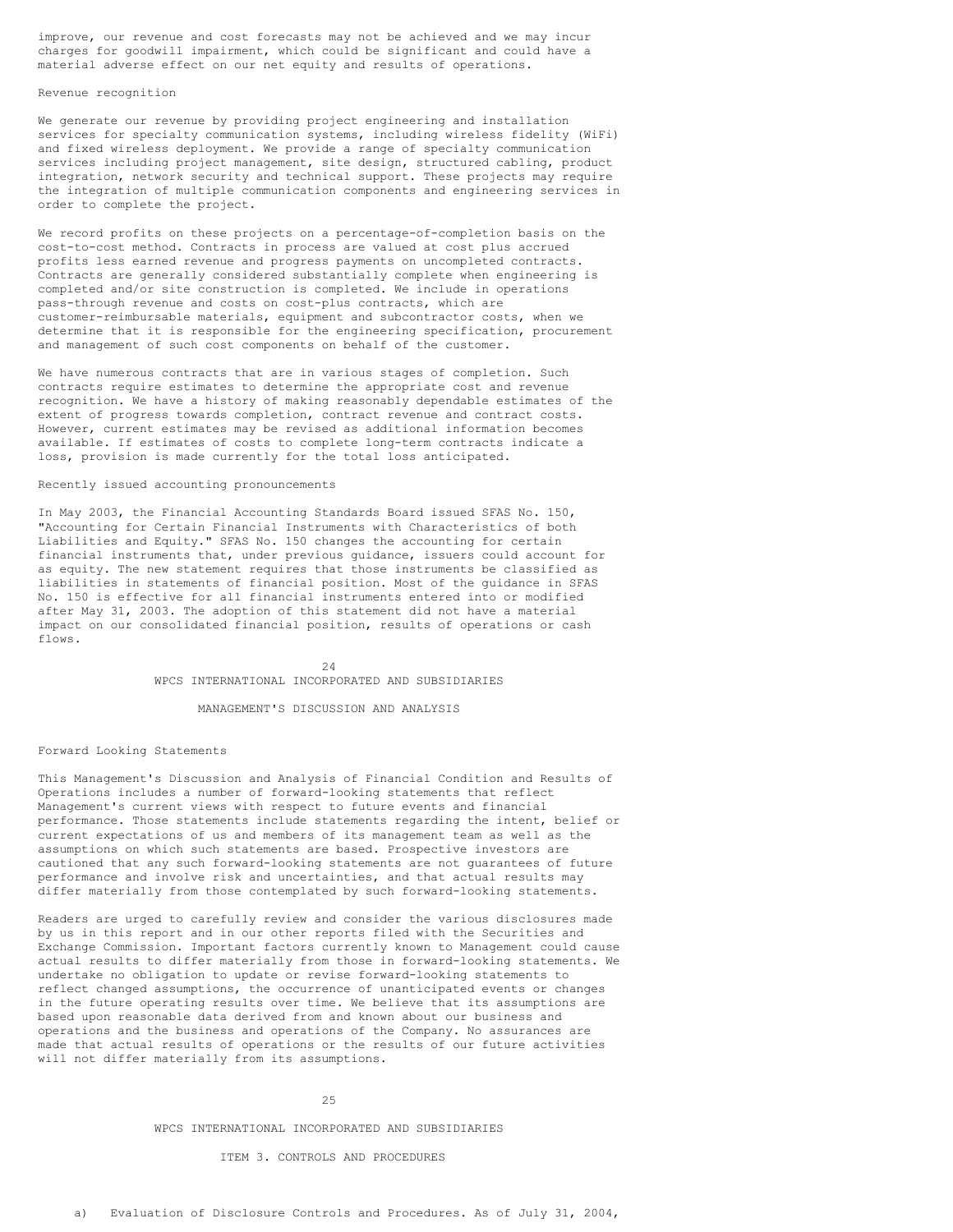improve, our revenue and cost forecasts may not be achieved and we may incur charges for goodwill impairment, which could be significant and could have a material adverse effect on our net equity and results of operations.

#### Revenue recognition

We generate our revenue by providing project engineering and installation services for specialty communication systems, including wireless fidelity (WiFi) and fixed wireless deployment. We provide a range of specialty communication services including project management, site design, structured cabling, product integration, network security and technical support. These projects may require the integration of multiple communication components and engineering services in order to complete the project.

We record profits on these projects on a percentage-of-completion basis on the cost-to-cost method. Contracts in process are valued at cost plus accrued profits less earned revenue and progress payments on uncompleted contracts. Contracts are generally considered substantially complete when engineering is completed and/or site construction is completed. We include in operations pass-through revenue and costs on cost-plus contracts, which are customer-reimbursable materials, equipment and subcontractor costs, when we determine that it is responsible for the engineering specification, procurement and management of such cost components on behalf of the customer.

We have numerous contracts that are in various stages of completion. Such contracts require estimates to determine the appropriate cost and revenue recognition. We have a history of making reasonably dependable estimates of the extent of progress towards completion, contract revenue and contract costs. However, current estimates may be revised as additional information becomes available. If estimates of costs to complete long-term contracts indicate a loss, provision is made currently for the total loss anticipated.

# Recently issued accounting pronouncements

In May 2003, the Financial Accounting Standards Board issued SFAS No. 150, "Accounting for Certain Financial Instruments with Characteristics of both Liabilities and Equity." SFAS No. 150 changes the accounting for certain financial instruments that, under previous guidance, issuers could account for as equity. The new statement requires that those instruments be classified as liabilities in statements of financial position. Most of the guidance in SFAS No. 150 is effective for all financial instruments entered into or modified after May 31, 2003. The adoption of this statement did not have a material impact on our consolidated financial position, results of operations or cash flows.

> 24 WPCS INTERNATIONAL INCORPORATED AND SUBSIDIARIES

### MANAGEMENT'S DISCUSSION AND ANALYSIS

# Forward Looking Statements

This Management's Discussion and Analysis of Financial Condition and Results of Operations includes a number of forward-looking statements that reflect Management's current views with respect to future events and financial performance. Those statements include statements regarding the intent, belief or current expectations of us and members of its management team as well as the assumptions on which such statements are based. Prospective investors are cautioned that any such forward-looking statements are not guarantees of future performance and involve risk and uncertainties, and that actual results may differ materially from those contemplated by such forward-looking statements.

Readers are urged to carefully review and consider the various disclosures made by us in this report and in our other reports filed with the Securities and Exchange Commission. Important factors currently known to Management could cause actual results to differ materially from those in forward-looking statements. We undertake no obligation to update or revise forward-looking statements to reflect changed assumptions, the occurrence of unanticipated events or changes in the future operating results over time. We believe that its assumptions are based upon reasonable data derived from and known about our business and operations and the business and operations of the Company. No assurances are made that actual results of operations or the results of our future activities will not differ materially from its assumptions.

# 25

#### WPCS INTERNATIONAL INCORPORATED AND SUBSIDIARIES

ITEM 3. CONTROLS AND PROCEDURES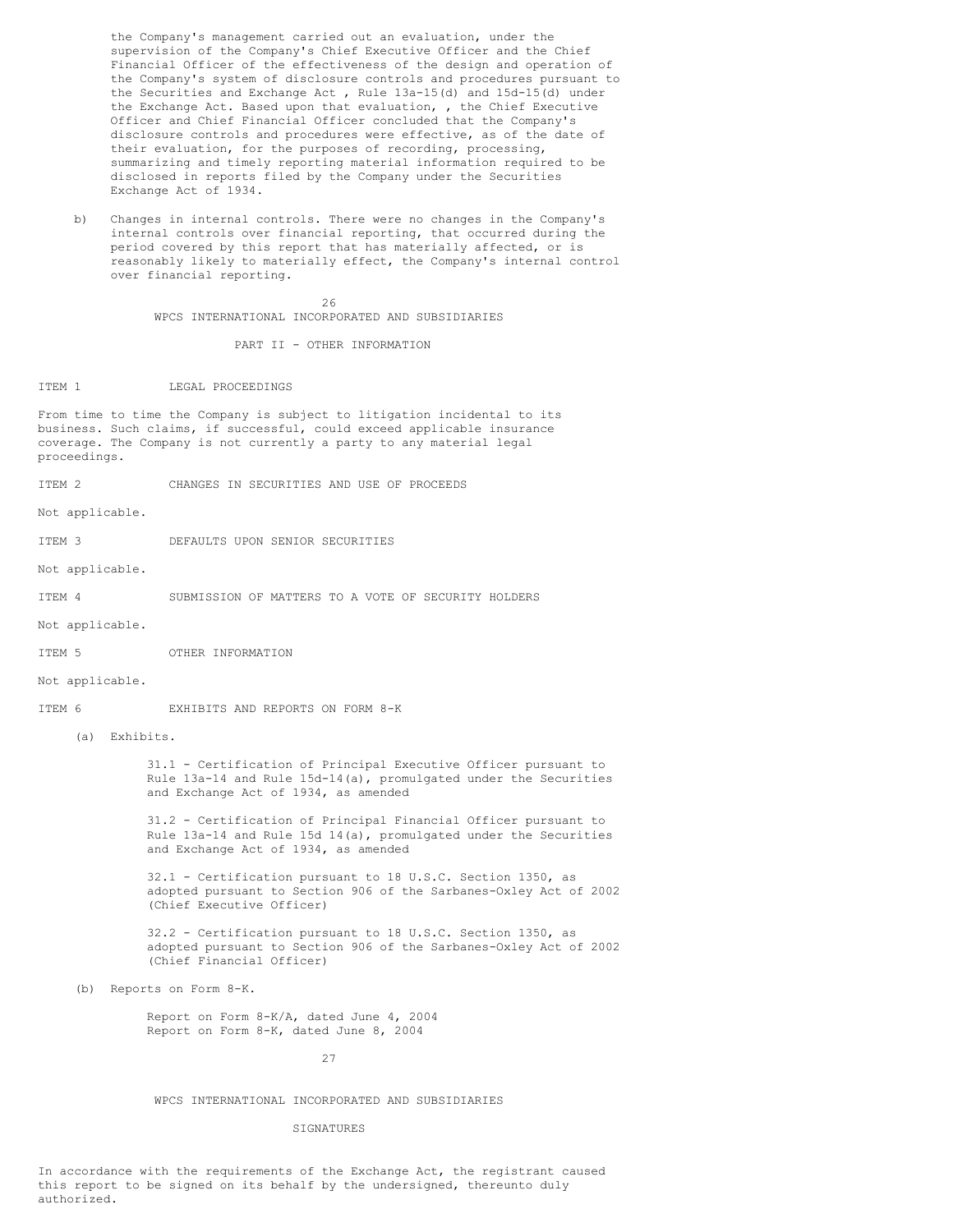the Company's management carried out an evaluation, under the supervision of the Company's Chief Executive Officer and the Chief Financial Officer of the effectiveness of the design and operation of the Company's system of disclosure controls and procedures pursuant to the Securities and Exchange Act , Rule 13a-15(d) and 15d-15(d) under the Exchange Act. Based upon that evaluation, , the Chief Executive Officer and Chief Financial Officer concluded that the Company's disclosure controls and procedures were effective, as of the date of their evaluation, for the purposes of recording, processing, summarizing and timely reporting material information required to be disclosed in reports filed by the Company under the Securities Exchange Act of 1934.

b) Changes in internal controls. There were no changes in the Company's internal controls over financial reporting, that occurred during the period covered by this report that has materially affected, or is reasonably likely to materially effect, the Company's internal control over financial reporting.

26

WPCS INTERNATIONAL INCORPORATED AND SUBSIDIARIES

PART II - OTHER INFORMATION

ITEM 1 LEGAL PROCEEDINGS

From time to time the Company is subject to litigation incidental to its business. Such claims, if successful, could exceed applicable insurance coverage. The Company is not currently a party to any material legal proceedings.

ITEM 2 CHANGES IN SECURITIES AND USE OF PROCEEDS

Not applicable.

ITEM 3 DEFAULTS UPON SENIOR SECURITIES

Not applicable.

ITEM 4 SUBMISSION OF MATTERS TO A VOTE OF SECURITY HOLDERS

Not applicable.

ITEM 5 OTHER INFORMATION

Not applicable.

ITEM 6 EXHIBITS AND REPORTS ON FORM 8-K

(a) Exhibits.

31.1 - Certification of Principal Executive Officer pursuant to Rule 13a-14 and Rule 15d-14(a), promulgated under the Securities and Exchange Act of 1934, as amended

31.2 - Certification of Principal Financial Officer pursuant to Rule 13a-14 and Rule 15d 14(a), promulgated under the Securities and Exchange Act of 1934, as amended

32.1 - Certification pursuant to 18 U.S.C. Section 1350, as adopted pursuant to Section 906 of the Sarbanes-Oxley Act of 2002 (Chief Executive Officer)

32.2 - Certification pursuant to 18 U.S.C. Section 1350, as adopted pursuant to Section 906 of the Sarbanes-Oxley Act of 2002 (Chief Financial Officer)

(b) Reports on Form 8-K.

Report on Form 8-K/A, dated June 4, 2004 Report on Form 8-K, dated June 8, 2004

27

WPCS INTERNATIONAL INCORPORATED AND SUBSIDIARIES

#### SIGNATURES

In accordance with the requirements of the Exchange Act, the registrant caused this report to be signed on its behalf by the undersigned, thereunto duly authorized.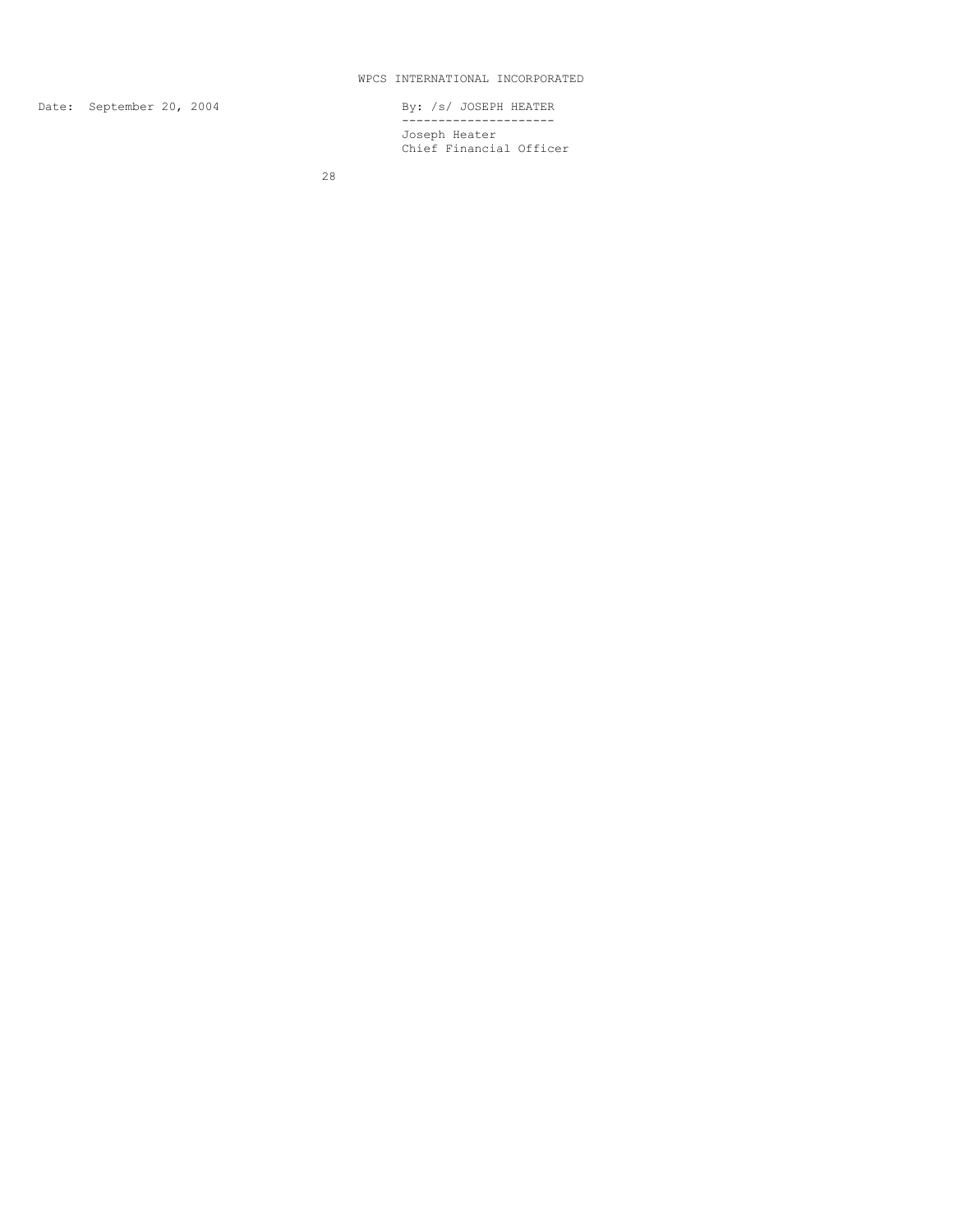Date: September 20, 2004 By: /s/ JOSEPH HEATER --------------------- Joseph Heater Chief Financial Officer

28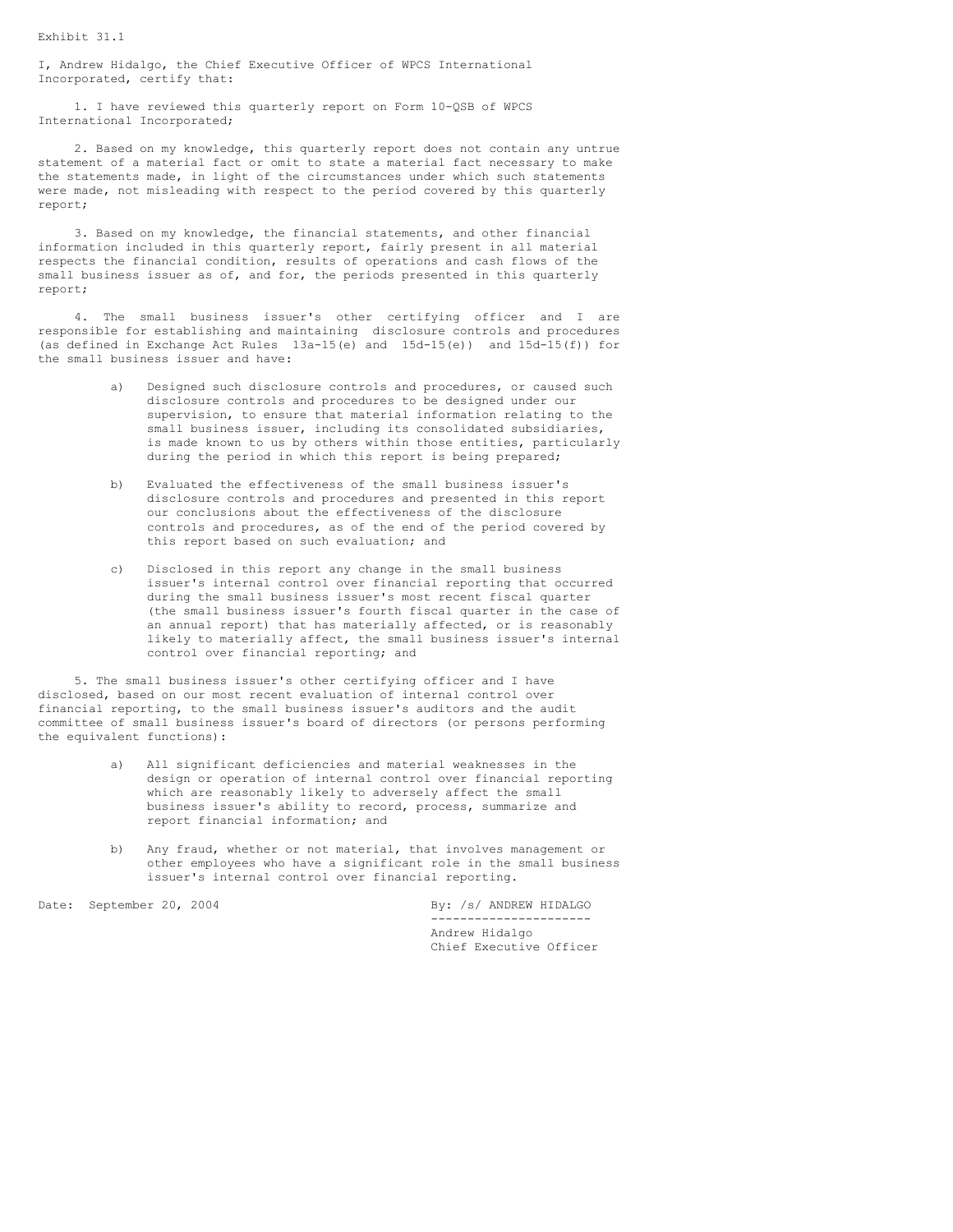# Exhibit 31.1

I, Andrew Hidalgo, the Chief Executive Officer of WPCS International Incorporated, certify that:

1. I have reviewed this quarterly report on Form 10-QSB of WPCS International Incorporated;

2. Based on my knowledge, this quarterly report does not contain any untrue statement of a material fact or omit to state a material fact necessary to make the statements made, in light of the circumstances under which such statements were made, not misleading with respect to the period covered by this quarterly report;

3. Based on my knowledge, the financial statements, and other financial information included in this quarterly report, fairly present in all material respects the financial condition, results of operations and cash flows of the small business issuer as of, and for, the periods presented in this quarterly report;

4. The small business issuer's other certifying officer and I are responsible for establishing and maintaining disclosure controls and procedures (as defined in Exchange Act Rules 13a-15(e) and 15d-15(e)) and 15d-15(f)) for the small business issuer and have:

- a) Designed such disclosure controls and procedures, or caused such disclosure controls and procedures to be designed under our supervision, to ensure that material information relating to the small business issuer, including its consolidated subsidiaries, is made known to us by others within those entities, particularly during the period in which this report is being prepared;
- b) Evaluated the effectiveness of the small business issuer's disclosure controls and procedures and presented in this report our conclusions about the effectiveness of the disclosure controls and procedures, as of the end of the period covered by this report based on such evaluation; and
- c) Disclosed in this report any change in the small business issuer's internal control over financial reporting that occurred during the small business issuer's most recent fiscal quarter (the small business issuer's fourth fiscal quarter in the case of an annual report) that has materially affected, or is reasonably likely to materially affect, the small business issuer's internal control over financial reporting; and

5. The small business issuer's other certifying officer and I have disclosed, based on our most recent evaluation of internal control over financial reporting, to the small business issuer's auditors and the audit committee of small business issuer's board of directors (or persons performing the equivalent functions):

- a) All significant deficiencies and material weaknesses in the design or operation of internal control over financial reporting which are reasonably likely to adversely affect the small business issuer's ability to record, process, summarize and report financial information; and
- b) Any fraud, whether or not material, that involves management or other employees who have a significant role in the small business issuer's internal control over financial reporting.

Date: September 20, 2004 By: /s/ ANDREW HIDALGO ---------------------- Andrew Hidalgo Chief Executive Officer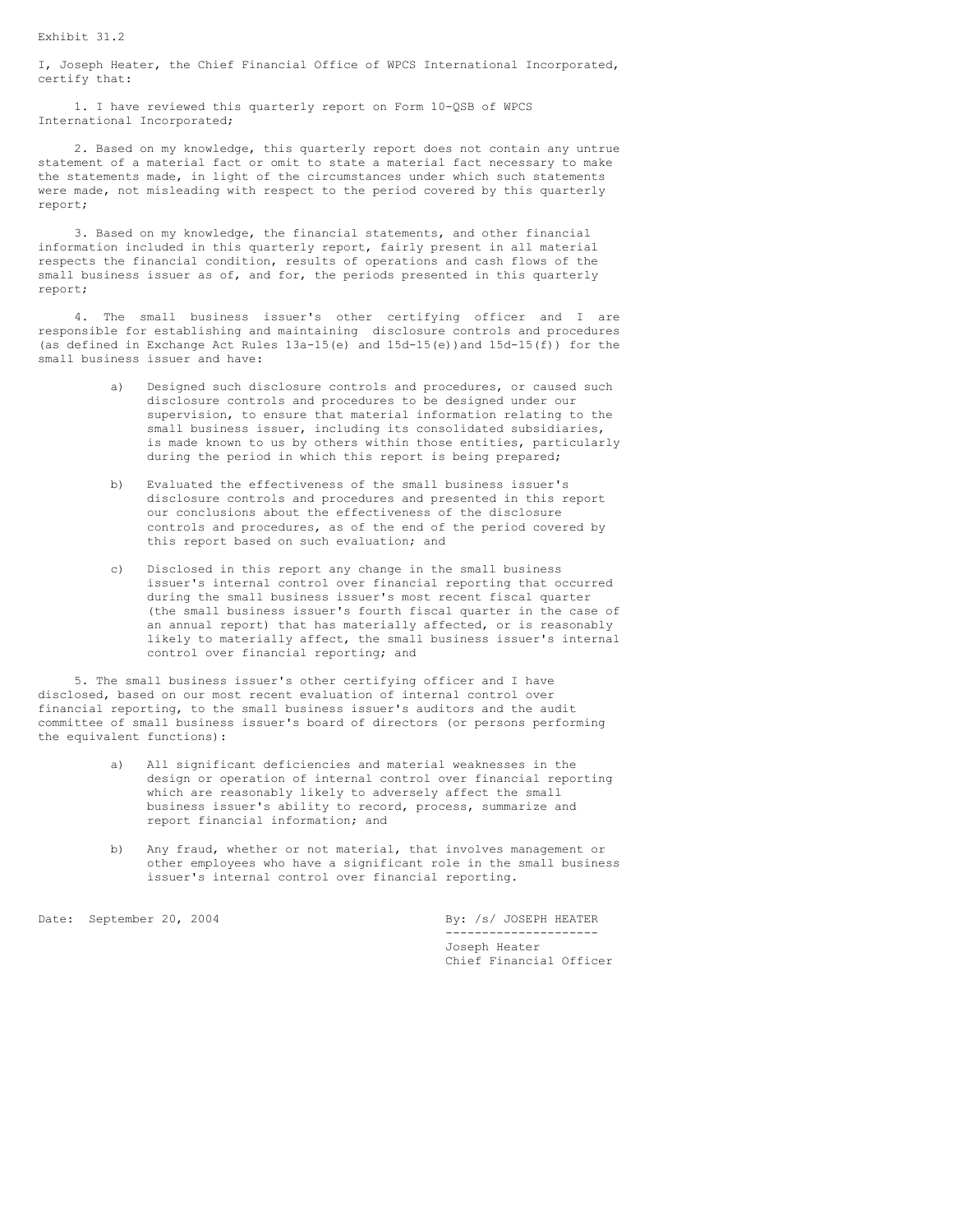Exhibit 31.2

I, Joseph Heater, the Chief Financial Office of WPCS International Incorporated, certify that:

1. I have reviewed this quarterly report on Form 10-QSB of WPCS International Incorporated;

2. Based on my knowledge, this quarterly report does not contain any untrue statement of a material fact or omit to state a material fact necessary to make the statements made, in light of the circumstances under which such statements were made, not misleading with respect to the period covered by this quarterly report;

3. Based on my knowledge, the financial statements, and other financial information included in this quarterly report, fairly present in all material respects the financial condition, results of operations and cash flows of the small business issuer as of, and for, the periods presented in this quarterly report;

4. The small business issuer's other certifying officer and I are responsible for establishing and maintaining disclosure controls and procedures (as defined in Exchange Act Rules  $13a-15(e)$  and  $15d-15(e)$ ) and  $15d-15(f)$ ) for the small business issuer and have:

- a) Designed such disclosure controls and procedures, or caused such disclosure controls and procedures to be designed under our supervision, to ensure that material information relating to the small business issuer, including its consolidated subsidiaries, is made known to us by others within those entities, particularly during the period in which this report is being prepared;
- b) Evaluated the effectiveness of the small business issuer's disclosure controls and procedures and presented in this report our conclusions about the effectiveness of the disclosure controls and procedures, as of the end of the period covered by this report based on such evaluation; and
- c) Disclosed in this report any change in the small business issuer's internal control over financial reporting that occurred during the small business issuer's most recent fiscal quarter (the small business issuer's fourth fiscal quarter in the case of an annual report) that has materially affected, or is reasonably likely to materially affect, the small business issuer's internal control over financial reporting; and

5. The small business issuer's other certifying officer and I have disclosed, based on our most recent evaluation of internal control over financial reporting, to the small business issuer's auditors and the audit committee of small business issuer's board of directors (or persons performing the equivalent functions):

- a) All significant deficiencies and material weaknesses in the design or operation of internal control over financial reporting which are reasonably likely to adversely affect the small business issuer's ability to record, process, summarize and report financial information; and
- b) Any fraud, whether or not material, that involves management or other employees who have a significant role in the small business issuer's internal control over financial reporting.

Date: September 20, 2004 By: /s/ JOSEPH HEATER

--------------------- Joseph Heater Chief Financial Officer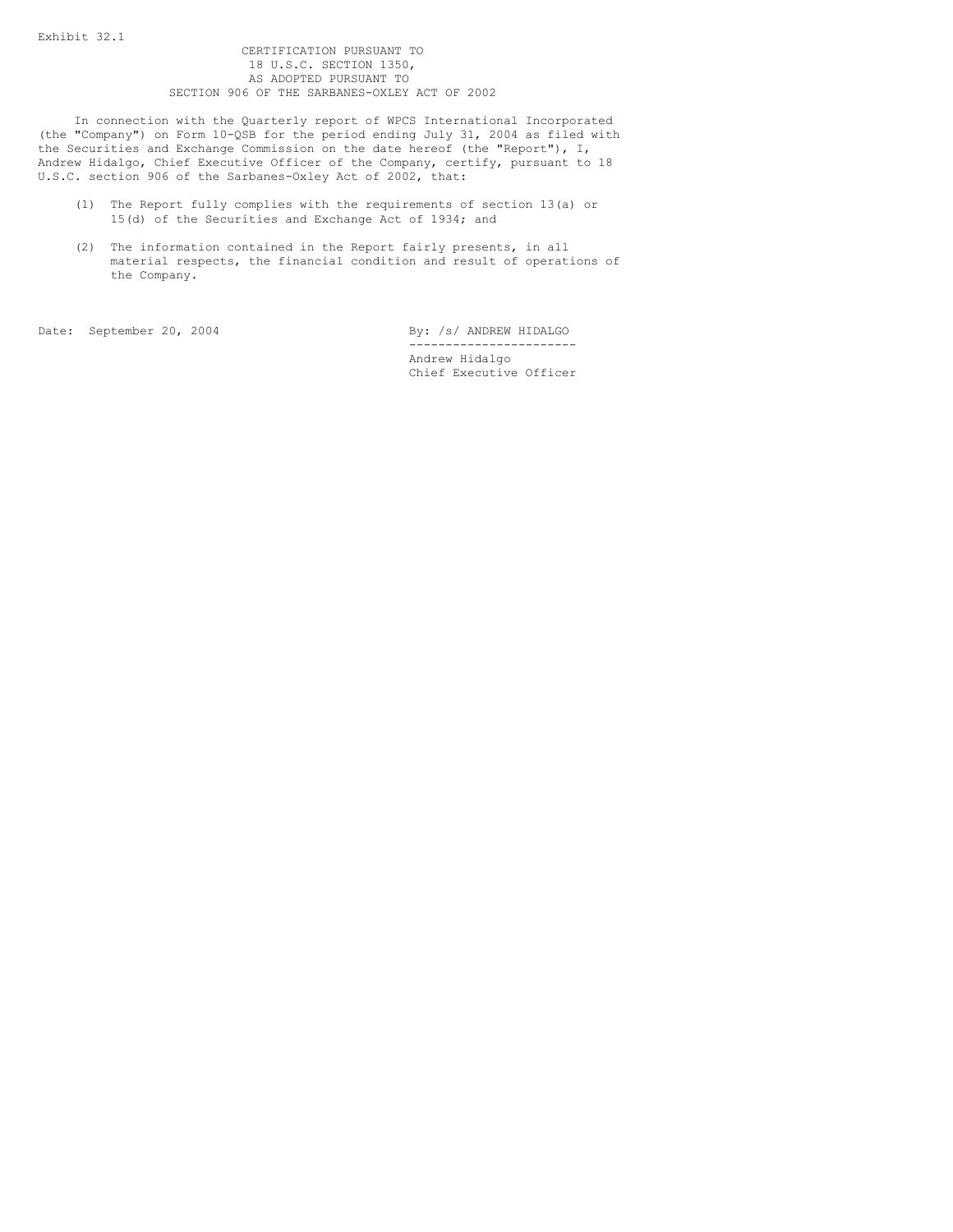# CERTIFICATION PURSUANT TO 18 U.S.C. SECTION 1350, AS ADOPTED PURSUANT TO SECTION 906 OF THE SARBANES-OXLEY ACT OF 2002

In connection with the Quarterly report of WPCS International Incorporated (the "Company") on Form 10-QSB for the period ending July 31, 2004 as filed with the Securities and Exchange Commission on the date hereof (the "Report"), I, Andrew Hidalgo, Chief Executive Officer of the Company, certify, pursuant to 18 U.S.C. section 906 of the Sarbanes-Oxley Act of 2002, that:

- (1) The Report fully complies with the requirements of section 13(a) or 15(d) of the Securities and Exchange Act of 1934; and
- (2) The information contained in the Report fairly presents, in all material respects, the financial condition and result of operations of the Company.

Date: September 20, 2004 By: /s/ ANDREW HIDALGO

----------------------- Andrew Hidalgo Chief Executive Officer